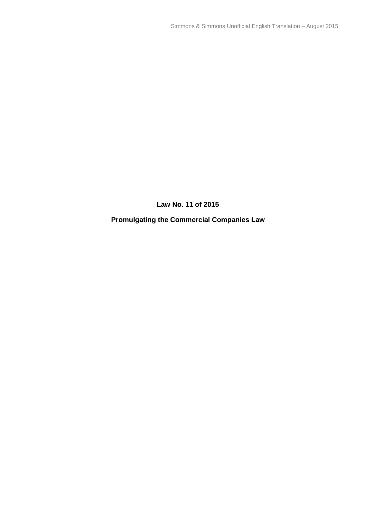**Law No. 11 of 2015**

**Promulgating the Commercial Companies Law**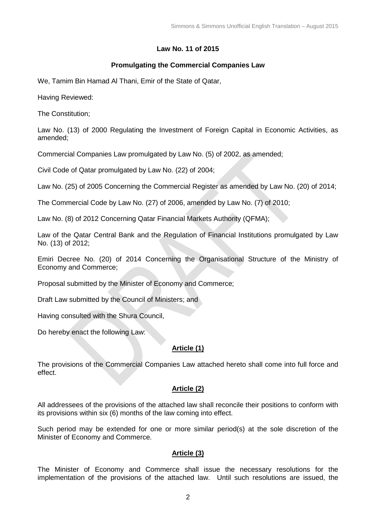# **Law No. 11 of 2015**

### **Promulgating the Commercial Companies Law**

We, Tamim Bin Hamad Al Thani, Emir of the State of Qatar,

Having Reviewed:

The Constitution;

Law No. (13) of 2000 Regulating the Investment of Foreign Capital in Economic Activities, as amended;

Commercial Companies Law promulgated by Law No. (5) of 2002, as amended;

Civil Code of Qatar promulgated by Law No. (22) of 2004;

Law No. (25) of 2005 Concerning the Commercial Register as amended by Law No. (20) of 2014;

The Commercial Code by Law No. (27) of 2006, amended by Law No. (7) of 2010;

Law No. (8) of 2012 Concerning Qatar Financial Markets Authority (QFMA);

Law of the Qatar Central Bank and the Regulation of Financial Institutions promulgated by Law No. (13) of 2012;

Emiri Decree No. (20) of 2014 Concerning the Organisational Structure of the Ministry of Economy and Commerce;

Proposal submitted by the Minister of Economy and Commerce;

Draft Law submitted by the Council of Ministers; and

Having consulted with the Shura Council,

Do hereby enact the following Law:

# **Article (1)**

The provisions of the Commercial Companies Law attached hereto shall come into full force and effect.

# **Article (2)**

All addressees of the provisions of the attached law shall reconcile their positions to conform with its provisions within six (6) months of the law coming into effect.

Such period may be extended for one or more similar period(s) at the sole discretion of the Minister of Economy and Commerce.

# **Article (3)**

The Minister of Economy and Commerce shall issue the necessary resolutions for the implementation of the provisions of the attached law. Until such resolutions are issued, the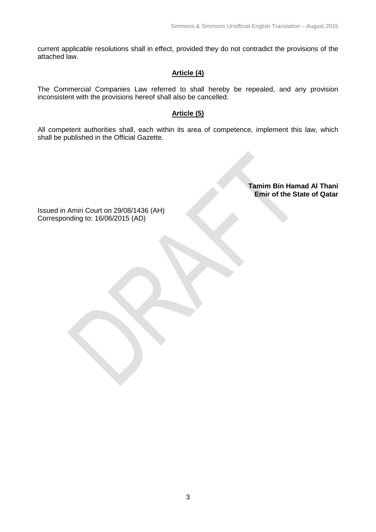current applicable resolutions shall in effect, provided they do not contradict the provisions of the attached law.

### **Article (4)**

The Commercial Companies Law referred to shall hereby be repealed, and any provision inconsistent with the provisions hereof shall also be cancelled.

### **Article (5)**

All competent authorities shall, each within its area of competence, implement this law, which shall be published in the Official Gazette.

> **Tamim Bin Hamad Al Thani Emir of the State of Qatar**

Issued in Amiri Court on 29/08/1436 (AH) Corresponding to: 16/06/2015 (AD)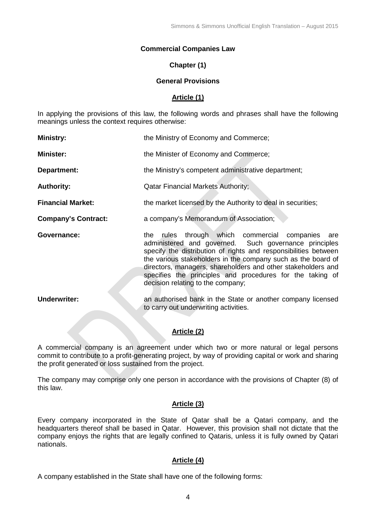#### **Commercial Companies Law**

#### **Chapter (1)**

#### **General Provisions**

#### **Article (1)**

In applying the provisions of this law, the following words and phrases shall have the following meanings unless the context requires otherwise:

| <b>Ministry:</b>           | the Ministry of Economy and Commerce;                                                                                                                                                                                                                                                                                                                                                                                |
|----------------------------|----------------------------------------------------------------------------------------------------------------------------------------------------------------------------------------------------------------------------------------------------------------------------------------------------------------------------------------------------------------------------------------------------------------------|
| <b>Minister:</b>           | the Minister of Economy and Commerce;                                                                                                                                                                                                                                                                                                                                                                                |
| Department:                | the Ministry's competent administrative department;                                                                                                                                                                                                                                                                                                                                                                  |
| <b>Authority:</b>          | <b>Qatar Financial Markets Authority;</b>                                                                                                                                                                                                                                                                                                                                                                            |
| <b>Financial Market:</b>   | the market licensed by the Authority to deal in securities;                                                                                                                                                                                                                                                                                                                                                          |
| <b>Company's Contract:</b> | a company's Memorandum of Association;                                                                                                                                                                                                                                                                                                                                                                               |
| Governance:                | through which commercial companies are<br>the<br>rules<br>administered and governed. Such governance principles<br>specify the distribution of rights and responsibilities between<br>the various stakeholders in the company such as the board of<br>directors, managers, shareholders and other stakeholders and<br>specifies the principles and procedures for the taking of<br>decision relating to the company; |
| <b>Underwriter:</b>        | an authorised bank in the State or another company licensed<br>to carry out underwriting activities.                                                                                                                                                                                                                                                                                                                 |
|                            |                                                                                                                                                                                                                                                                                                                                                                                                                      |

### **Article (2)**

A commercial company is an agreement under which two or more natural or legal persons commit to contribute to a profit-generating project, by way of providing capital or work and sharing the profit generated or loss sustained from the project.

The company may comprise only one person in accordance with the provisions of Chapter (8) of this law.

#### **Article (3)**

Every company incorporated in the State of Qatar shall be a Qatari company, and the headquarters thereof shall be based in Qatar. However, this provision shall not dictate that the company enjoys the rights that are legally confined to Qataris, unless it is fully owned by Qatari nationals.

#### **Article (4)**

A company established in the State shall have one of the following forms: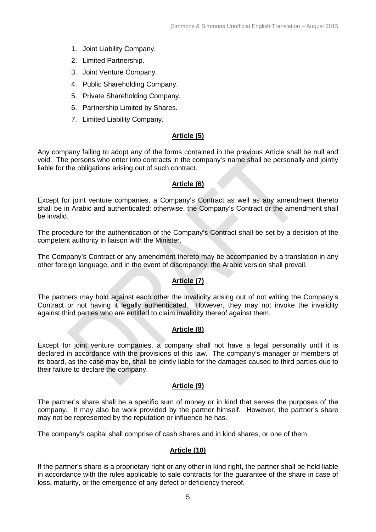- 1. Joint Liability Company.
- 2. Limited Partnership.
- 3. Joint Venture Company.
- 4. Public Shareholding Company.
- 5. Private Shareholding Company.
- 6. Partnership Limited by Shares.
- 7. Limited Liability Company.

# **Article (5)**

Any company failing to adopt any of the forms contained in the previous Article shall be null and void. The persons who enter into contracts in the company's name shall be personally and jointly liable for the obligations arising out of such contract.

### **Article (6)**

Except for joint venture companies, a Company's Contract as well as any amendment thereto shall be in Arabic and authenticated; otherwise, the Company's Contract or the amendment shall be invalid.

The procedure for the authentication of the Company's Contract shall be set by a decision of the competent authority in liaison with the Minister.

The Company's Contract or any amendment thereto may be accompanied by a translation in any other foreign language, and in the event of discrepancy, the Arabic version shall prevail.

# **Article (7)**

The partners may hold against each other the invalidity arising out of not writing the Company's Contract or not having it legally authenticated. However, they may not invoke the invalidity against third parties who are entitled to claim invalidity thereof against them.

### **Article (8)**

Except for joint venture companies, a company shall not have a legal personality until it is declared in accordance with the provisions of this law. The company's manager or members of its board, as the case may be, shall be jointly liable for the damages caused to third parties due to their failure to declare the company.

### **Article (9)**

The partner's share shall be a specific sum of money or in kind that serves the purposes of the company. It may also be work provided by the partner himself. However, the partner's share may not be represented by the reputation or influence he has.

The company's capital shall comprise of cash shares and in kind shares, or one of them.

### **Article (10)**

If the partner's share is a proprietary right or any other in kind right, the partner shall be held liable in accordance with the rules applicable to sale contracts for the guarantee of the share in case of loss, maturity, or the emergence of any defect or deficiency thereof.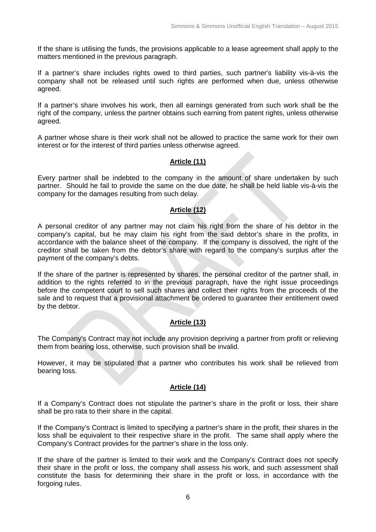If the share is utilising the funds, the provisions applicable to a lease agreement shall apply to the matters mentioned in the previous paragraph.

If a partner's share includes rights owed to third parties, such partner's liability vis-à-vis the company shall not be released until such rights are performed when due, unless otherwise agreed.

If a partner's share involves his work, then all earnings generated from such work shall be the right of the company, unless the partner obtains such earning from patent rights, unless otherwise agreed.

A partner whose share is their work shall not be allowed to practice the same work for their own interest or for the interest of third parties unless otherwise agreed.

#### **Article (11)**

Every partner shall be indebted to the company in the amount of share undertaken by such partner. Should he fail to provide the same on the due date, he shall be held liable vis-à-vis the company for the damages resulting from such delay.

#### **Article (12)**

A personal creditor of any partner may not claim his right from the share of his debtor in the company's capital, but he may claim his right from the said debtor's share in the profits, in accordance with the balance sheet of the company. If the company is dissolved, the right of the creditor shall be taken from the debtor's share with regard to the company's surplus after the payment of the company's debts.

If the share of the partner is represented by shares, the personal creditor of the partner shall, in addition to the rights referred to in the previous paragraph, have the right issue proceedings before the competent court to sell such shares and collect their rights from the proceeds of the sale and to request that a provisional attachment be ordered to guarantee their entitlement owed by the debtor.

### **Article (13)**

The Company's Contract may not include any provision depriving a partner from profit or relieving them from bearing loss, otherwise, such provision shall be invalid.

However, it may be stipulated that a partner who contributes his work shall be relieved from bearing loss.

### **Article (14)**

If a Company's Contract does not stipulate the partner's share in the profit or loss, their share shall be pro rata to their share in the capital.

If the Company's Contract is limited to specifying a partner's share in the profit, their shares in the loss shall be equivalent to their respective share in the profit. The same shall apply where the Company's Contract provides for the partner's share in the loss only.

If the share of the partner is limited to their work and the Company's Contract does not specify their share in the profit or loss, the company shall assess his work, and such assessment shall constitute the basis for determining their share in the profit or loss, in accordance with the forgoing rules.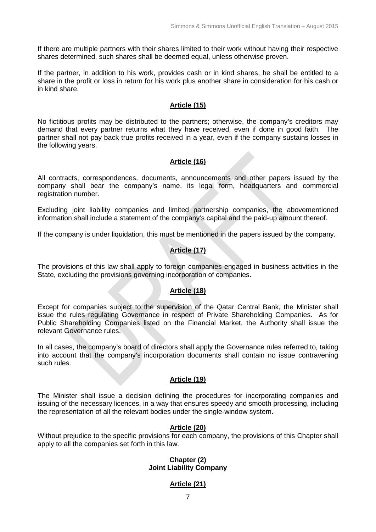If there are multiple partners with their shares limited to their work without having their respective shares determined, such shares shall be deemed equal, unless otherwise proven.

If the partner, in addition to his work, provides cash or in kind shares, he shall be entitled to a share in the profit or loss in return for his work plus another share in consideration for his cash or in kind share.

#### **Article (15)**

No fictitious profits may be distributed to the partners; otherwise, the company's creditors may demand that every partner returns what they have received, even if done in good faith. The partner shall not pay back true profits received in a year, even if the company sustains losses in the following years.

### **Article (16)**

All contracts, correspondences, documents, announcements and other papers issued by the company shall bear the company's name, its legal form, headquarters and commercial registration number.

Excluding joint liability companies and limited partnership companies, the abovementioned information shall include a statement of the company's capital and the paid-up amount thereof.

If the company is under liquidation, this must be mentioned in the papers issued by the company.

# **Article (17)**

The provisions of this law shall apply to foreign companies engaged in business activities in the State, excluding the provisions governing incorporation of companies.

### **Article (18)**

Except for companies subject to the supervision of the Qatar Central Bank, the Minister shall issue the rules regulating Governance in respect of Private Shareholding Companies. As for Public Shareholding Companies listed on the Financial Market, the Authority shall issue the relevant Governance rules.

In all cases, the company's board of directors shall apply the Governance rules referred to, taking into account that the company's incorporation documents shall contain no issue contravening such rules.

### **Article (19)**

The Minister shall issue a decision defining the procedures for incorporating companies and issuing of the necessary licences, in a way that ensures speedy and smooth processing, including the representation of all the relevant bodies under the single-window system.

### **Article (20)**

Without prejudice to the specific provisions for each company, the provisions of this Chapter shall apply to all the companies set forth in this law.

#### **Chapter (2) Joint Liability Company**

### **Article (21)**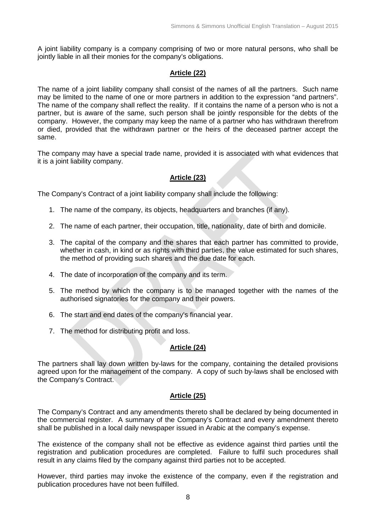A joint liability company is a company comprising of two or more natural persons, who shall be jointly liable in all their monies for the company's obligations.

# **Article (22)**

The name of a joint liability company shall consist of the names of all the partners. Such name may be limited to the name of one or more partners in addition to the expression "and partners". The name of the company shall reflect the reality. If it contains the name of a person who is not a partner, but is aware of the same, such person shall be jointly responsible for the debts of the company. However, the company may keep the name of a partner who has withdrawn therefrom or died, provided that the withdrawn partner or the heirs of the deceased partner accept the same.

The company may have a special trade name, provided it is associated with what evidences that it is a joint liability company.

# **Article (23)**

The Company's Contract of a joint liability company shall include the following:

- 1. The name of the company, its objects, headquarters and branches (if any).
- 2. The name of each partner, their occupation, title, nationality, date of birth and domicile.
- 3. The capital of the company and the shares that each partner has committed to provide, whether in cash, in kind or as rights with third parties, the value estimated for such shares, the method of providing such shares and the due date for each.
- 4. The date of incorporation of the company and its term.
- 5. The method by which the company is to be managed together with the names of the authorised signatories for the company and their powers.
- 6. The start and end dates of the company's financial year.
- 7. The method for distributing profit and loss.

# **Article (24)**

The partners shall lay down written by-laws for the company, containing the detailed provisions agreed upon for the management of the company. A copy of such by-laws shall be enclosed with the Company's Contract.

### **Article (25)**

The Company's Contract and any amendments thereto shall be declared by being documented in the commercial register. A summary of the Company's Contract and every amendment thereto shall be published in a local daily newspaper issued in Arabic at the company's expense.

The existence of the company shall not be effective as evidence against third parties until the registration and publication procedures are completed. Failure to fulfil such procedures shall result in any claims filed by the company against third parties not to be accepted.

However, third parties may invoke the existence of the company, even if the registration and publication procedures have not been fulfilled.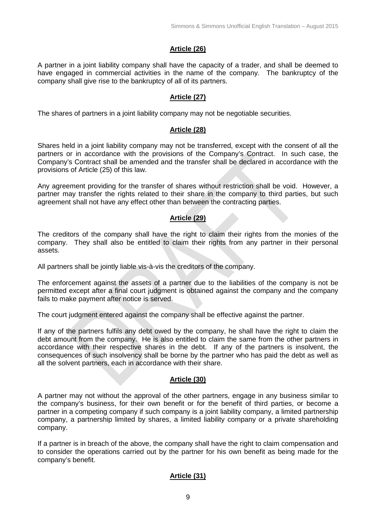# **Article (26)**

A partner in a joint liability company shall have the capacity of a trader, and shall be deemed to have engaged in commercial activities in the name of the company. The bankruptcy of the company shall give rise to the bankruptcy of all of its partners.

### **Article (27)**

The shares of partners in a joint liability company may not be negotiable securities.

#### **Article (28)**

Shares held in a joint liability company may not be transferred, except with the consent of all the partners or in accordance with the provisions of the Company's Contract. In such case, the Company's Contract shall be amended and the transfer shall be declared in accordance with the provisions of Article (25) of this law.

Any agreement providing for the transfer of shares without restriction shall be void. However, a partner may transfer the rights related to their share in the company to third parties, but such agreement shall not have any effect other than between the contracting parties.

### **Article (29)**

The creditors of the company shall have the right to claim their rights from the monies of the company. They shall also be entitled to claim their rights from any partner in their personal assets.

All partners shall be jointly liable vis-à-vis the creditors of the company.

The enforcement against the assets of a partner due to the liabilities of the company is not be permitted except after a final court judgment is obtained against the company and the company fails to make payment after notice is served.

The court judgment entered against the company shall be effective against the partner.

If any of the partners fulfils any debt owed by the company, he shall have the right to claim the debt amount from the company. He is also entitled to claim the same from the other partners in accordance with their respective shares in the debt. If any of the partners is insolvent, the consequences of such insolvency shall be borne by the partner who has paid the debt as well as all the solvent partners, each in accordance with their share.

### **Article (30)**

A partner may not without the approval of the other partners, engage in any business similar to the company's business, for their own benefit or for the benefit of third parties, or become a partner in a competing company if such company is a joint liability company, a limited partnership company, a partnership limited by shares, a limited liability company or a private shareholding company.

If a partner is in breach of the above, the company shall have the right to claim compensation and to consider the operations carried out by the partner for his own benefit as being made for the company's benefit.

# **Article (31)**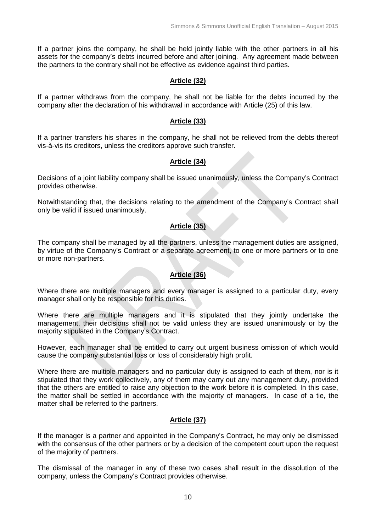If a partner joins the company, he shall be held jointly liable with the other partners in all his assets for the company's debts incurred before and after joining. Any agreement made between the partners to the contrary shall not be effective as evidence against third parties.

### **Article (32)**

If a partner withdraws from the company, he shall not be liable for the debts incurred by the company after the declaration of his withdrawal in accordance with Article (25) of this law.

#### **Article (33)**

If a partner transfers his shares in the company, he shall not be relieved from the debts thereof vis-à-vis its creditors, unless the creditors approve such transfer.

### **Article (34)**

Decisions of a joint liability company shall be issued unanimously, unless the Company's Contract provides otherwise.

Notwithstanding that, the decisions relating to the amendment of the Company's Contract shall only be valid if issued unanimously.

### **Article (35)**

The company shall be managed by all the partners, unless the management duties are assigned, by virtue of the Company's Contract or a separate agreement, to one or more partners or to one or more non-partners.

### **Article (36)**

Where there are multiple managers and every manager is assigned to a particular duty, every manager shall only be responsible for his duties.

Where there are multiple managers and it is stipulated that they jointly undertake the management, their decisions shall not be valid unless they are issued unanimously or by the majority stipulated in the Company's Contract.

However, each manager shall be entitled to carry out urgent business omission of which would cause the company substantial loss or loss of considerably high profit.

Where there are multiple managers and no particular duty is assigned to each of them, nor is it stipulated that they work collectively, any of them may carry out any management duty, provided that the others are entitled to raise any objection to the work before it is completed. In this case, the matter shall be settled in accordance with the majority of managers. In case of a tie, the matter shall be referred to the partners.

### **Article (37)**

If the manager is a partner and appointed in the Company's Contract, he may only be dismissed with the consensus of the other partners or by a decision of the competent court upon the request of the majority of partners.

The dismissal of the manager in any of these two cases shall result in the dissolution of the company, unless the Company's Contract provides otherwise.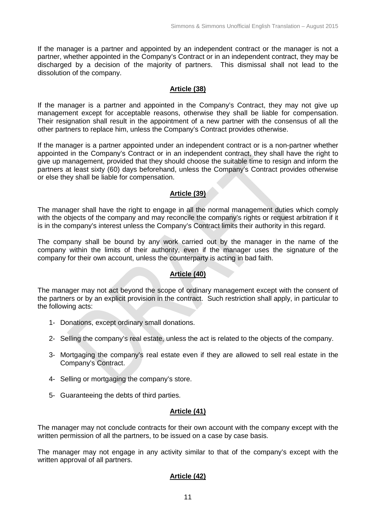If the manager is a partner and appointed by an independent contract or the manager is not a partner, whether appointed in the Company's Contract or in an independent contract, they may be discharged by a decision of the majority of partners. This dismissal shall not lead to the dissolution of the company.

### **Article (38)**

If the manager is a partner and appointed in the Company's Contract, they may not give up management except for acceptable reasons, otherwise they shall be liable for compensation. Their resignation shall result in the appointment of a new partner with the consensus of all the other partners to replace him, unless the Company's Contract provides otherwise.

If the manager is a partner appointed under an independent contract or is a non-partner whether appointed in the Company's Contract or in an independent contract, they shall have the right to give up management, provided that they should choose the suitable time to resign and inform the partners at least sixty (60) days beforehand, unless the Company's Contract provides otherwise or else they shall be liable for compensation.

### **Article (39)**

The manager shall have the right to engage in all the normal management duties which comply with the objects of the company and may reconcile the company's rights or request arbitration if it is in the company's interest unless the Company's Contract limits their authority in this regard.

The company shall be bound by any work carried out by the manager in the name of the company within the limits of their authority, even if the manager uses the signature of the company for their own account, unless the counterparty is acting in bad faith.

### **Article (40)**

The manager may not act beyond the scope of ordinary management except with the consent of the partners or by an explicit provision in the contract. Such restriction shall apply, in particular to the following acts:

- 1- Donations, except ordinary small donations.
- 2- Selling the company's real estate, unless the act is related to the objects of the company.
- 3- Mortgaging the company's real estate even if they are allowed to sell real estate in the Company's Contract.
- 4- Selling or mortgaging the company's store.
- 5- Guaranteeing the debts of third parties.

# **Article (41)**

The manager may not conclude contracts for their own account with the company except with the written permission of all the partners, to be issued on a case by case basis.

The manager may not engage in any activity similar to that of the company's except with the written approval of all partners.

# **Article (42)**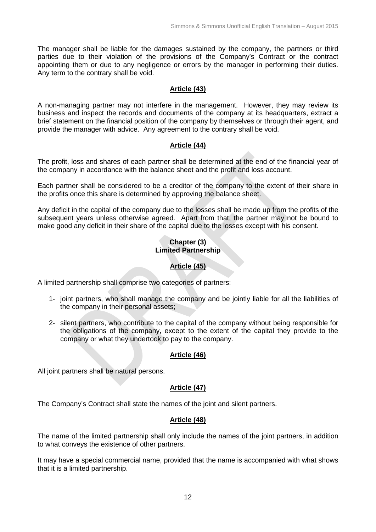The manager shall be liable for the damages sustained by the company, the partners or third parties due to their violation of the provisions of the Company's Contract or the contract appointing them or due to any negligence or errors by the manager in performing their duties. Any term to the contrary shall be void.

### **Article (43)**

A non-managing partner may not interfere in the management. However, they may review its business and inspect the records and documents of the company at its headquarters, extract a brief statement on the financial position of the company by themselves or through their agent, and provide the manager with advice. Any agreement to the contrary shall be void.

#### **Article (44)**

The profit, loss and shares of each partner shall be determined at the end of the financial year of the company in accordance with the balance sheet and the profit and loss account.

Each partner shall be considered to be a creditor of the company to the extent of their share in the profits once this share is determined by approving the balance sheet.

Any deficit in the capital of the company due to the losses shall be made up from the profits of the subsequent years unless otherwise agreed. Apart from that, the partner may not be bound to make good any deficit in their share of the capital due to the losses except with his consent.

### **Chapter (3) Limited Partnership**

### **Article (45)**

A limited partnership shall comprise two categories of partners:

- 1- joint partners, who shall manage the company and be jointly liable for all the liabilities of the company in their personal assets;
- 2- silent partners, who contribute to the capital of the company without being responsible for the obligations of the company, except to the extent of the capital they provide to the company or what they undertook to pay to the company.

### **Article (46)**

All joint partners shall be natural persons.

### **Article (47)**

The Company's Contract shall state the names of the joint and silent partners.

### **Article (48)**

The name of the limited partnership shall only include the names of the joint partners, in addition to what conveys the existence of other partners.

It may have a special commercial name, provided that the name is accompanied with what shows that it is a limited partnership.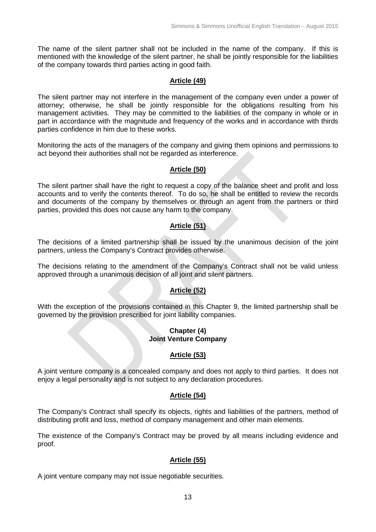The name of the silent partner shall not be included in the name of the company. If this is mentioned with the knowledge of the silent partner, he shall be jointly responsible for the liabilities of the company towards third parties acting in good faith.

### **Article (49)**

The silent partner may not interfere in the management of the company even under a power of attorney; otherwise, he shall be jointly responsible for the obligations resulting from his management activities. They may be committed to the liabilities of the company in whole or in part in accordance with the magnitude and frequency of the works and in accordance with thirds parties confidence in him due to these works.

Monitoring the acts of the managers of the company and giving them opinions and permissions to act beyond their authorities shall not be regarded as interference.

### **Article (50)**

The silent partner shall have the right to request a copy of the balance sheet and profit and loss accounts and to verify the contents thereof. To do so, he shall be entitled to review the records and documents of the company by themselves or through an agent from the partners or third parties, provided this does not cause any harm to the company.

### **Article (51)**

The decisions of a limited partnership shall be issued by the unanimous decision of the joint partners, unless the Company's Contract provides otherwise.

The decisions relating to the amendment of the Company's Contract shall not be valid unless approved through a unanimous decision of all joint and silent partners.

# **Article (52)**

With the exception of the provisions contained in this Chapter 9, the limited partnership shall be governed by the provision prescribed for joint liability companies.

#### **Chapter (4) Joint Venture Company**

### **Article (53)**

A joint venture company is a concealed company and does not apply to third parties. It does not enjoy a legal personality and is not subject to any declaration procedures.

### **Article (54)**

The Company's Contract shall specify its objects, rights and liabilities of the partners, method of distributing profit and loss, method of company management and other main elements.

The existence of the Company's Contract may be proved by all means including evidence and proof.

### **Article (55)**

A joint venture company may not issue negotiable securities.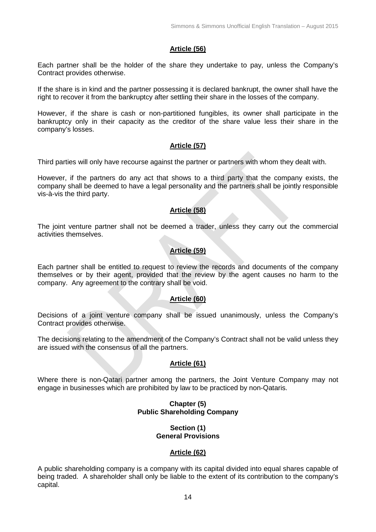### **Article (56)**

Each partner shall be the holder of the share they undertake to pay, unless the Company's Contract provides otherwise.

If the share is in kind and the partner possessing it is declared bankrupt, the owner shall have the right to recover it from the bankruptcy after settling their share in the losses of the company.

However, if the share is cash or non-partitioned fungibles, its owner shall participate in the bankruptcy only in their capacity as the creditor of the share value less their share in the company's losses.

#### **Article (57)**

Third parties will only have recourse against the partner or partners with whom they dealt with.

However, if the partners do any act that shows to a third party that the company exists, the company shall be deemed to have a legal personality and the partners shall be jointly responsible vis-à-vis the third party.

### **Article (58)**

The joint venture partner shall not be deemed a trader, unless they carry out the commercial activities themselves.

### **Article (59)**

Each partner shall be entitled to request to review the records and documents of the company themselves or by their agent, provided that the review by the agent causes no harm to the company. Any agreement to the contrary shall be void.

### **Article (60)**

Decisions of a joint venture company shall be issued unanimously, unless the Company's Contract provides otherwise.

The decisions relating to the amendment of the Company's Contract shall not be valid unless they are issued with the consensus of all the partners.

### **Article (61)**

Where there is non-Qatari partner among the partners, the Joint Venture Company may not engage in businesses which are prohibited by law to be practiced by non-Qataris.

#### **Chapter (5) Public Shareholding Company**

#### **Section (1) General Provisions**

#### **Article (62)**

A public shareholding company is a company with its capital divided into equal shares capable of being traded. A shareholder shall only be liable to the extent of its contribution to the company's capital.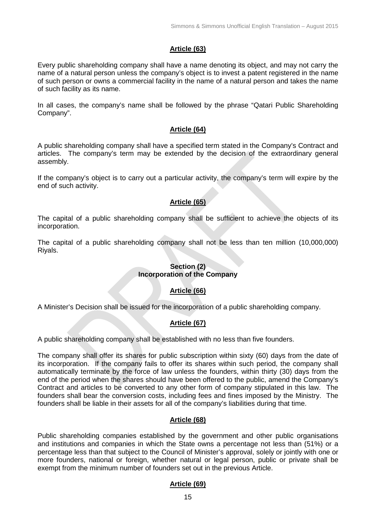### **Article (63)**

Every public shareholding company shall have a name denoting its object, and may not carry the name of a natural person unless the company's object is to invest a patent registered in the name of such person or owns a commercial facility in the name of a natural person and takes the name of such facility as its name.

In all cases, the company's name shall be followed by the phrase "Qatari Public Shareholding Company".

#### **Article (64)**

A public shareholding company shall have a specified term stated in the Company's Contract and articles. The company's term may be extended by the decision of the extraordinary general assembly.

If the company's object is to carry out a particular activity, the company's term will expire by the end of such activity.

### **Article (65)**

The capital of a public shareholding company shall be sufficient to achieve the objects of its incorporation.

The capital of a public shareholding company shall not be less than ten million (10,000,000) Riyals.

### **Section (2) Incorporation of the Company**

### **Article (66)**

A Minister's Decision shall be issued for the incorporation of a public shareholding company.

### **Article (67)**

A public shareholding company shall be established with no less than five founders.

The company shall offer its shares for public subscription within sixty (60) days from the date of its incorporation. If the company fails to offer its shares within such period, the company shall automatically terminate by the force of law unless the founders, within thirty (30) days from the end of the period when the shares should have been offered to the public, amend the Company's Contract and articles to be converted to any other form of company stipulated in this law. The founders shall bear the conversion costs, including fees and fines imposed by the Ministry. The founders shall be liable in their assets for all of the company's liabilities during that time.

#### **Article (68)**

Public shareholding companies established by the government and other public organisations and institutions and companies in which the State owns a percentage not less than (51%) or a percentage less than that subject to the Council of Minister's approval, solely or jointly with one or more founders, national or foreign, whether natural or legal person, public or private shall be exempt from the minimum number of founders set out in the previous Article.

#### **Article (69)**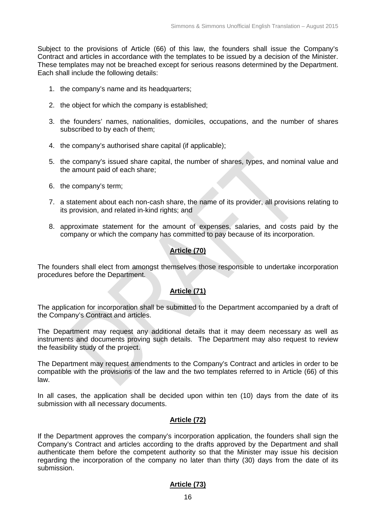Subject to the provisions of Article (66) of this law, the founders shall issue the Company's Contract and articles in accordance with the templates to be issued by a decision of the Minister. These templates may not be breached except for serious reasons determined by the Department. Each shall include the following details:

- 1. the company's name and its headquarters;
- 2. the object for which the company is established;
- 3. the founders' names, nationalities, domiciles, occupations, and the number of shares subscribed to by each of them;
- 4. the company's authorised share capital (if applicable);
- 5. the company's issued share capital, the number of shares, types, and nominal value and the amount paid of each share;
- 6. the company's term;
- 7. a statement about each non-cash share, the name of its provider, all provisions relating to its provision, and related in-kind rights; and
- 8. approximate statement for the amount of expenses, salaries, and costs paid by the company or which the company has committed to pay because of its incorporation.

### **Article (70)**

The founders shall elect from amongst themselves those responsible to undertake incorporation procedures before the Department.

### **Article (71)**

The application for incorporation shall be submitted to the Department accompanied by a draft of the Company's Contract and articles.

The Department may request any additional details that it may deem necessary as well as instruments and documents proving such details. The Department may also request to review the feasibility study of the project.

The Department may request amendments to the Company's Contract and articles in order to be compatible with the provisions of the law and the two templates referred to in Article (66) of this law.

In all cases, the application shall be decided upon within ten (10) days from the date of its submission with all necessary documents.

### **Article (72)**

If the Department approves the company's incorporation application, the founders shall sign the Company's Contract and articles according to the drafts approved by the Department and shall authenticate them before the competent authority so that the Minister may issue his decision regarding the incorporation of the company no later than thirty (30) days from the date of its submission.

### **Article (73)**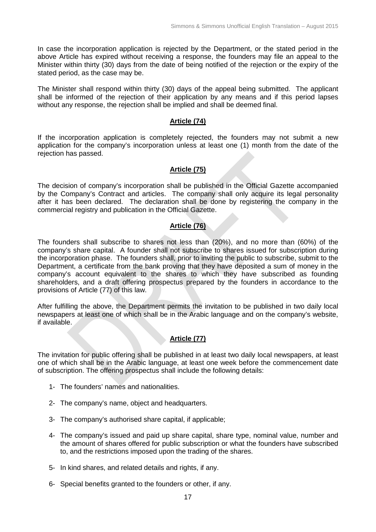In case the incorporation application is rejected by the Department, or the stated period in the above Article has expired without receiving a response, the founders may file an appeal to the Minister within thirty (30) days from the date of being notified of the rejection or the expiry of the stated period, as the case may be.

The Minister shall respond within thirty (30) days of the appeal being submitted. The applicant shall be informed of the rejection of their application by any means and if this period lapses without any response, the rejection shall be implied and shall be deemed final.

#### **Article (74)**

If the incorporation application is completely rejected, the founders may not submit a new application for the company's incorporation unless at least one (1) month from the date of the rejection has passed.

### **Article (75)**

The decision of company's incorporation shall be published in the Official Gazette accompanied by the Company's Contract and articles. The company shall only acquire its legal personality after it has been declared. The declaration shall be done by registering the company in the commercial registry and publication in the Official Gazette.

#### **Article (76)**

The founders shall subscribe to shares not less than (20%), and no more than (60%) of the company's share capital. A founder shall not subscribe to shares issued for subscription during the incorporation phase. The founders shall, prior to inviting the public to subscribe, submit to the Department, a certificate from the bank proving that they have deposited a sum of money in the company's account equivalent to the shares to which they have subscribed as founding shareholders, and a draft offering prospectus prepared by the founders in accordance to the provisions of Article (77) of this law.

After fulfilling the above, the Department permits the invitation to be published in two daily local newspapers at least one of which shall be in the Arabic language and on the company's website, if available.

### **Article (77)**

The invitation for public offering shall be published in at least two daily local newspapers, at least one of which shall be in the Arabic language, at least one week before the commencement date of subscription. The offering prospectus shall include the following details:

- 1- The founders' names and nationalities.
- 2- The company's name, object and headquarters.
- 3- The company's authorised share capital, if applicable;
- 4- The company's issued and paid up share capital, share type, nominal value, number and the amount of shares offered for public subscription or what the founders have subscribed to, and the restrictions imposed upon the trading of the shares.
- 5- In kind shares, and related details and rights, if any.
- 6- Special benefits granted to the founders or other, if any.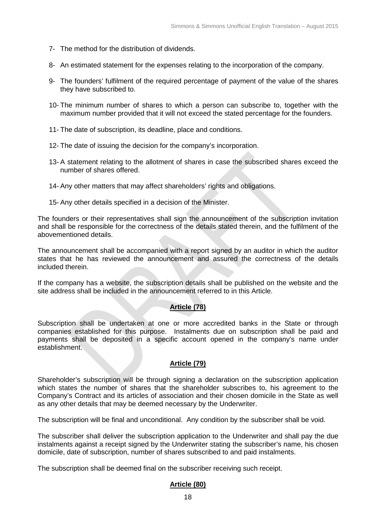- 7- The method for the distribution of dividends.
- 8- An estimated statement for the expenses relating to the incorporation of the company.
- 9- The founders' fulfilment of the required percentage of payment of the value of the shares they have subscribed to.
- 10- The minimum number of shares to which a person can subscribe to, together with the maximum number provided that it will not exceed the stated percentage for the founders.
- 11- The date of subscription, its deadline, place and conditions.
- 12- The date of issuing the decision for the company's incorporation.
- 13- A statement relating to the allotment of shares in case the subscribed shares exceed the number of shares offered.
- 14- Any other matters that may affect shareholders' rights and obligations.
- 15- Any other details specified in a decision of the Minister.

The founders or their representatives shall sign the announcement of the subscription invitation and shall be responsible for the correctness of the details stated therein, and the fulfilment of the abovementioned details.

The announcement shall be accompanied with a report signed by an auditor in which the auditor states that he has reviewed the announcement and assured the correctness of the details included therein.

If the company has a website, the subscription details shall be published on the website and the site address shall be included in the announcement referred to in this Article.

### **Article (78)**

Subscription shall be undertaken at one or more accredited banks in the State or through companies established for this purpose. Instalments due on subscription shall be paid and payments shall be deposited in a specific account opened in the company's name under establishment.

### **Article (79)**

Shareholder's subscription will be through signing a declaration on the subscription application which states the number of shares that the shareholder subscribes to, his agreement to the Company's Contract and its articles of association and their chosen domicile in the State as well as any other details that may be deemed necessary by the Underwriter.

The subscription will be final and unconditional. Any condition by the subscriber shall be void.

The subscriber shall deliver the subscription application to the Underwriter and shall pay the due instalments against a receipt signed by the Underwriter stating the subscriber's name, his chosen domicile, date of subscription, number of shares subscribed to and paid instalments.

The subscription shall be deemed final on the subscriber receiving such receipt.

### **Article (80)**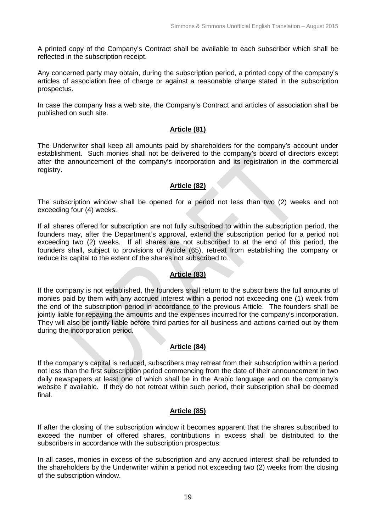A printed copy of the Company's Contract shall be available to each subscriber which shall be reflected in the subscription receipt.

Any concerned party may obtain, during the subscription period, a printed copy of the company's articles of association free of charge or against a reasonable charge stated in the subscription prospectus.

In case the company has a web site, the Company's Contract and articles of association shall be published on such site.

# **Article (81)**

The Underwriter shall keep all amounts paid by shareholders for the company's account under establishment. Such monies shall not be delivered to the company's board of directors except after the announcement of the company's incorporation and its registration in the commercial registry.

# **Article (82)**

The subscription window shall be opened for a period not less than two (2) weeks and not exceeding four (4) weeks.

If all shares offered for subscription are not fully subscribed to within the subscription period, the founders may, after the Department's approval, extend the subscription period for a period not exceeding two (2) weeks. If all shares are not subscribed to at the end of this period, the founders shall, subject to provisions of Article (65), retreat from establishing the company or reduce its capital to the extent of the shares not subscribed to.

# **Article (83)**

If the company is not established, the founders shall return to the subscribers the full amounts of monies paid by them with any accrued interest within a period not exceeding one (1) week from the end of the subscription period in accordance to the previous Article. The founders shall be jointly liable for repaying the amounts and the expenses incurred for the company's incorporation. They will also be jointly liable before third parties for all business and actions carried out by them during the incorporation period.

# **Article (84)**

If the company's capital is reduced, subscribers may retreat from their subscription within a period not less than the first subscription period commencing from the date of their announcement in two daily newspapers at least one of which shall be in the Arabic language and on the company's website if available. If they do not retreat within such period, their subscription shall be deemed final.

# **Article (85)**

If after the closing of the subscription window it becomes apparent that the shares subscribed to exceed the number of offered shares, contributions in excess shall be distributed to the subscribers in accordance with the subscription prospectus.

In all cases, monies in excess of the subscription and any accrued interest shall be refunded to the shareholders by the Underwriter within a period not exceeding two (2) weeks from the closing of the subscription window.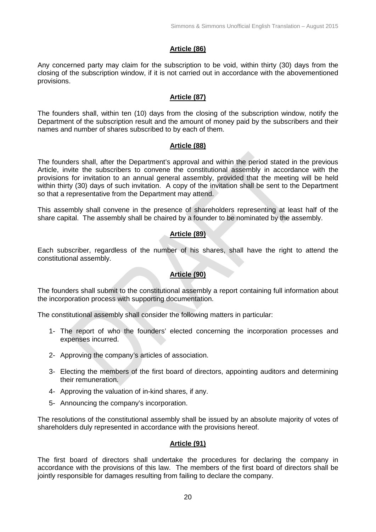### **Article (86)**

Any concerned party may claim for the subscription to be void, within thirty (30) days from the closing of the subscription window, if it is not carried out in accordance with the abovementioned provisions.

### **Article (87)**

The founders shall, within ten (10) days from the closing of the subscription window, notify the Department of the subscription result and the amount of money paid by the subscribers and their names and number of shares subscribed to by each of them.

#### **Article (88)**

The founders shall, after the Department's approval and within the period stated in the previous Article, invite the subscribers to convene the constitutional assembly in accordance with the provisions for invitation to an annual general assembly, provided that the meeting will be held within thirty (30) days of such invitation. A copy of the invitation shall be sent to the Department so that a representative from the Department may attend.

This assembly shall convene in the presence of shareholders representing at least half of the share capital. The assembly shall be chaired by a founder to be nominated by the assembly.

### **Article (89)**

Each subscriber, regardless of the number of his shares, shall have the right to attend the constitutional assembly.

### **Article (90)**

The founders shall submit to the constitutional assembly a report containing full information about the incorporation process with supporting documentation.

The constitutional assembly shall consider the following matters in particular:

- 1- The report of who the founders' elected concerning the incorporation processes and expenses incurred.
- 2- Approving the company's articles of association.
- 3- Electing the members of the first board of directors, appointing auditors and determining their remuneration.
- 4- Approving the valuation of in-kind shares, if any.
- 5- Announcing the company's incorporation.

The resolutions of the constitutional assembly shall be issued by an absolute majority of votes of shareholders duly represented in accordance with the provisions hereof.

### **Article (91)**

The first board of directors shall undertake the procedures for declaring the company in accordance with the provisions of this law. The members of the first board of directors shall be jointly responsible for damages resulting from failing to declare the company.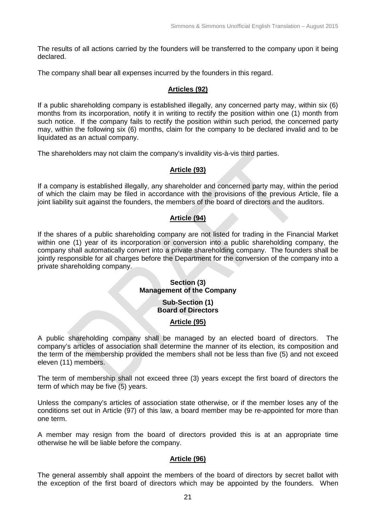The results of all actions carried by the founders will be transferred to the company upon it being declared.

The company shall bear all expenses incurred by the founders in this regard.

### **Articles (92)**

If a public shareholding company is established illegally, any concerned party may, within six (6) months from its incorporation, notify it in writing to rectify the position within one (1) month from such notice. If the company fails to rectify the position within such period, the concerned party may, within the following six (6) months, claim for the company to be declared invalid and to be liquidated as an actual company.

The shareholders may not claim the company's invalidity vis-à-vis third parties.

# **Article (93)**

If a company is established illegally, any shareholder and concerned party may, within the period of which the claim may be filed in accordance with the provisions of the previous Article, file a joint liability suit against the founders, the members of the board of directors and the auditors.

# **Article (94)**

If the shares of a public shareholding company are not listed for trading in the Financial Market within one (1) year of its incorporation or conversion into a public shareholding company, the company shall automatically convert into a private shareholding company. The founders shall be jointly responsible for all charges before the Department for the conversion of the company into a private shareholding company.

# **Section (3) Management of the Company**

**Sub-Section (1) Board of Directors**

### **Article (95)**

A public shareholding company shall be managed by an elected board of directors. The company's articles of association shall determine the manner of its election, its composition and the term of the membership provided the members shall not be less than five (5) and not exceed eleven (11) members.

The term of membership shall not exceed three (3) years except the first board of directors the term of which may be five (5) years.

Unless the company's articles of association state otherwise, or if the member loses any of the conditions set out in Article (97) of this law, a board member may be re-appointed for more than one term.

A member may resign from the board of directors provided this is at an appropriate time otherwise he will be liable before the company.

### **Article (96)**

The general assembly shall appoint the members of the board of directors by secret ballot with the exception of the first board of directors which may be appointed by the founders. When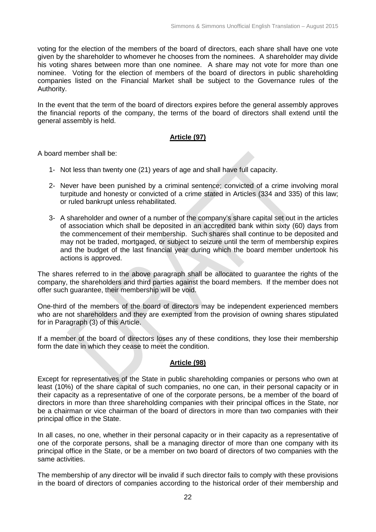voting for the election of the members of the board of directors, each share shall have one vote given by the shareholder to whomever he chooses from the nominees. A shareholder may divide his voting shares between more than one nominee. A share may not vote for more than one nominee. Voting for the election of members of the board of directors in public shareholding companies listed on the Financial Market shall be subject to the Governance rules of the Authority.

In the event that the term of the board of directors expires before the general assembly approves the financial reports of the company, the terms of the board of directors shall extend until the general assembly is held.

### **Article (97)**

A board member shall be:

- 1- Not less than twenty one (21) years of age and shall have full capacity.
- 2- Never have been punished by a criminal sentence; convicted of a crime involving moral turpitude and honesty or convicted of a crime stated in Articles (334 and 335) of this law; or ruled bankrupt unless rehabilitated.
- 3- A shareholder and owner of a number of the company's share capital set out in the articles of association which shall be deposited in an accredited bank within sixty (60) days from the commencement of their membership. Such shares shall continue to be deposited and may not be traded, mortgaged, or subject to seizure until the term of membership expires and the budget of the last financial year during which the board member undertook his actions is approved.

The shares referred to in the above paragraph shall be allocated to guarantee the rights of the company, the shareholders and third parties against the board members. If the member does not offer such guarantee, their membership will be void.

One-third of the members of the board of directors may be independent experienced members who are not shareholders and they are exempted from the provision of owning shares stipulated for in Paragraph (3) of this Article.

If a member of the board of directors loses any of these conditions, they lose their membership form the date in which they cease to meet the condition.

#### **Article (98)**

Except for representatives of the State in public shareholding companies or persons who own at least (10%) of the share capital of such companies, no one can, in their personal capacity or in their capacity as a representative of one of the corporate persons, be a member of the board of directors in more than three shareholding companies with their principal offices in the State, nor be a chairman or vice chairman of the board of directors in more than two companies with their principal office in the State.

In all cases, no one, whether in their personal capacity or in their capacity as a representative of one of the corporate persons, shall be a managing director of more than one company with its principal office in the State, or be a member on two board of directors of two companies with the same activities.

The membership of any director will be invalid if such director fails to comply with these provisions in the board of directors of companies according to the historical order of their membership and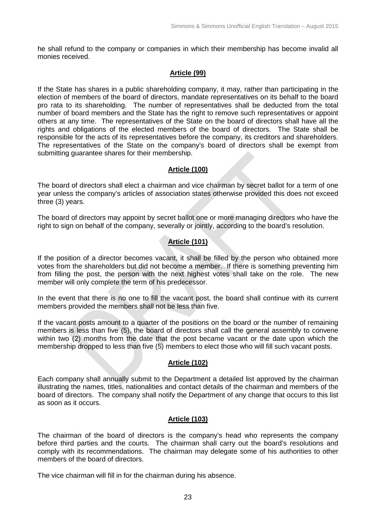he shall refund to the company or companies in which their membership has become invalid all monies received.

### **Article (99)**

If the State has shares in a public shareholding company, it may, rather than participating in the election of members of the board of directors, mandate representatives on its behalf to the board pro rata to its shareholding. The number of representatives shall be deducted from the total number of board members and the State has the right to remove such representatives or appoint others at any time. The representatives of the State on the board of directors shall have all the rights and obligations of the elected members of the board of directors. The State shall be responsible for the acts of its representatives before the company, its creditors and shareholders. The representatives of the State on the company's board of directors shall be exempt from submitting guarantee shares for their membership.

### **Article (100)**

The board of directors shall elect a chairman and vice chairman by secret ballot for a term of one year unless the company's articles of association states otherwise provided this does not exceed three (3) years.

The board of directors may appoint by secret ballot one or more managing directors who have the right to sign on behalf of the company, severally or jointly, according to the board's resolution.

# **Article (101)**

If the position of a director becomes vacant, it shall be filled by the person who obtained more votes from the shareholders but did not become a member. If there is something preventing him from filling the post, the person with the next highest votes shall take on the role. The new member will only complete the term of his predecessor.

In the event that there is no one to fill the vacant post, the board shall continue with its current members provided the members shall not be less than five.

If the vacant posts amount to a quarter of the positions on the board or the number of remaining members is less than five (5), the board of directors shall call the general assembly to convene within two (2) months from the date that the post became vacant or the date upon which the membership dropped to less than five (5) members to elect those who will fill such vacant posts.

### **Article (102)**

Each company shall annually submit to the Department a detailed list approved by the chairman illustrating the names, titles, nationalities and contact details of the chairman and members of the board of directors. The company shall notify the Department of any change that occurs to this list as soon as it occurs.

### **Article (103)**

The chairman of the board of directors is the company's head who represents the company before third parties and the courts. The chairman shall carry out the board's resolutions and comply with its recommendations. The chairman may delegate some of his authorities to other members of the board of directors.

The vice chairman will fill in for the chairman during his absence.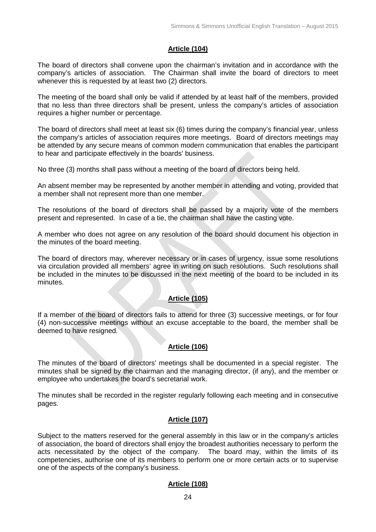# **Article (104)**

The board of directors shall convene upon the chairman's invitation and in accordance with the company's articles of association. The Chairman shall invite the board of directors to meet whenever this is requested by at least two (2) directors.

The meeting of the board shall only be valid if attended by at least half of the members, provided that no less than three directors shall be present, unless the company's articles of association requires a higher number or percentage.

The board of directors shall meet at least six (6) times during the company's financial year, unless the company's articles of association requires more meetings. Board of directors meetings may be attended by any secure means of common modern communication that enables the participant to hear and participate effectively in the boards' business.

No three (3) months shall pass without a meeting of the board of directors being held.

An absent member may be represented by another member in attending and voting, provided that a member shall not represent more than one member.

The resolutions of the board of directors shall be passed by a majority vote of the members present and represented. In case of a tie, the chairman shall have the casting vote.

A member who does not agree on any resolution of the board should document his objection in the minutes of the board meeting.

The board of directors may, wherever necessary or in cases of urgency, issue some resolutions via circulation provided all members' agree in writing on such resolutions. Such resolutions shall be included in the minutes to be discussed in the next meeting of the board to be included in its minutes.

# **Article (105)**

If a member of the board of directors fails to attend for three (3) successive meetings, or for four (4) non-successive meetings without an excuse acceptable to the board, the member shall be deemed to have resigned.

# **Article (106)**

The minutes of the board of directors' meetings shall be documented in a special register. The minutes shall be signed by the chairman and the managing director, (if any), and the member or employee who undertakes the board's secretarial work.

The minutes shall be recorded in the register regularly following each meeting and in consecutive pages.

# **Article (107)**

Subject to the matters reserved for the general assembly in this law or in the company's articles of association, the board of directors shall enjoy the broadest authorities necessary to perform the acts necessitated by the object of the company. The board may, within the limits of its competencies, authorise one of its members to perform one or more certain acts or to supervise one of the aspects of the company's business.

### **Article (108)**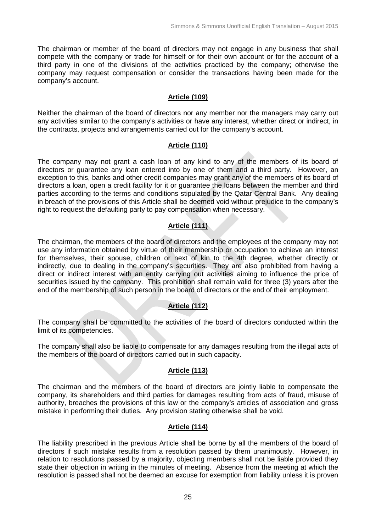The chairman or member of the board of directors may not engage in any business that shall compete with the company or trade for himself or for their own account or for the account of a third party in one of the divisions of the activities practiced by the company; otherwise the company may request compensation or consider the transactions having been made for the company's account.

#### **Article (109)**

Neither the chairman of the board of directors nor any member nor the managers may carry out any activities similar to the company's activities or have any interest, whether direct or indirect, in the contracts, projects and arrangements carried out for the company's account.

#### **Article (110)**

The company may not grant a cash loan of any kind to any of the members of its board of directors or guarantee any loan entered into by one of them and a third party. However, an exception to this, banks and other credit companies may grant any of the members of its board of directors a loan, open a credit facility for it or guarantee the loans between the member and third parties according to the terms and conditions stipulated by the Qatar Central Bank. Any dealing in breach of the provisions of this Article shall be deemed void without prejudice to the company's right to request the defaulting party to pay compensation when necessary.

# **Article (111)**

The chairman, the members of the board of directors and the employees of the company may not use any information obtained by virtue of their membership or occupation to achieve an interest for themselves, their spouse, children or next of kin to the 4th degree, whether directly or indirectly, due to dealing in the company's securities. They are also prohibited from having a direct or indirect interest with an entity carrying out activities aiming to influence the price of securities issued by the company. This prohibition shall remain valid for three (3) years after the end of the membership of such person in the board of directors or the end of their employment.

### **Article (112)**

The company shall be committed to the activities of the board of directors conducted within the limit of its competencies.

The company shall also be liable to compensate for any damages resulting from the illegal acts of the members of the board of directors carried out in such capacity.

### **Article (113)**

The chairman and the members of the board of directors are jointly liable to compensate the company, its shareholders and third parties for damages resulting from acts of fraud, misuse of authority, breaches the provisions of this law or the company's articles of association and gross mistake in performing their duties. Any provision stating otherwise shall be void.

### **Article (114)**

The liability prescribed in the previous Article shall be borne by all the members of the board of directors if such mistake results from a resolution passed by them unanimously. However, in relation to resolutions passed by a majority, objecting members shall not be liable provided they state their objection in writing in the minutes of meeting. Absence from the meeting at which the resolution is passed shall not be deemed an excuse for exemption from liability unless it is proven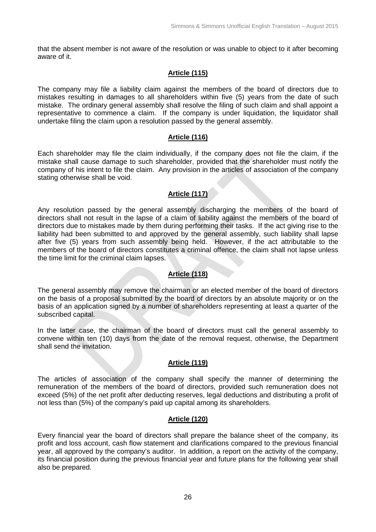that the absent member is not aware of the resolution or was unable to object to it after becoming aware of it.

### **Article (115)**

The company may file a liability claim against the members of the board of directors due to mistakes resulting in damages to all shareholders within five (5) years from the date of such mistake. The ordinary general assembly shall resolve the filing of such claim and shall appoint a representative to commence a claim. If the company is under liquidation, the liquidator shall undertake filing the claim upon a resolution passed by the general assembly.

### **Article (116)**

Each shareholder may file the claim individually, if the company does not file the claim, if the mistake shall cause damage to such shareholder, provided that the shareholder must notify the company of his intent to file the claim. Any provision in the articles of association of the company stating otherwise shall be void.

### **Article (117)**

Any resolution passed by the general assembly discharging the members of the board of directors shall not result in the lapse of a claim of liability against the members of the board of directors due to mistakes made by them during performing their tasks. If the act giving rise to the liability had been submitted to and approved by the general assembly, such liability shall lapse after five (5) years from such assembly being held. However, if the act attributable to the members of the board of directors constitutes a criminal offence, the claim shall not lapse unless the time limit for the criminal claim lapses.

### **Article (118)**

The general assembly may remove the chairman or an elected member of the board of directors on the basis of a proposal submitted by the board of directors by an absolute majority or on the basis of an application signed by a number of shareholders representing at least a quarter of the subscribed capital.

In the latter case, the chairman of the board of directors must call the general assembly to convene within ten (10) days from the date of the removal request, otherwise, the Department shall send the invitation.

### **Article (119)**

The articles of association of the company shall specify the manner of determining the remuneration of the members of the board of directors, provided such remuneration does not exceed (5%) of the net profit after deducting reserves, legal deductions and distributing a profit of not less than (5%) of the company's paid up capital among its shareholders.

### **Article (120)**

Every financial year the board of directors shall prepare the balance sheet of the company, its profit and loss account, cash flow statement and clarifications compared to the previous financial year, all approved by the company's auditor. In addition, a report on the activity of the company, its financial position during the previous financial year and future plans for the following year shall also be prepared.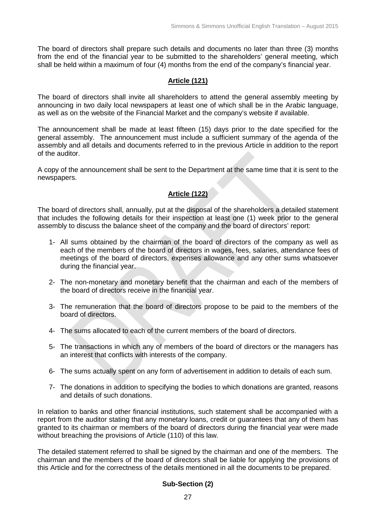The board of directors shall prepare such details and documents no later than three (3) months from the end of the financial year to be submitted to the shareholders' general meeting, which shall be held within a maximum of four (4) months from the end of the company's financial year.

### **Article (121)**

The board of directors shall invite all shareholders to attend the general assembly meeting by announcing in two daily local newspapers at least one of which shall be in the Arabic language, as well as on the website of the Financial Market and the company's website if available.

The announcement shall be made at least fifteen (15) days prior to the date specified for the general assembly. The announcement must include a sufficient summary of the agenda of the assembly and all details and documents referred to in the previous Article in addition to the report of the auditor.

A copy of the announcement shall be sent to the Department at the same time that it is sent to the newspapers.

### **Article (122)**

The board of directors shall, annually, put at the disposal of the shareholders a detailed statement that includes the following details for their inspection at least one (1) week prior to the general assembly to discuss the balance sheet of the company and the board of directors' report:

- 1- All sums obtained by the chairman of the board of directors of the company as well as each of the members of the board of directors in wages, fees, salaries, attendance fees of meetings of the board of directors, expenses allowance and any other sums whatsoever during the financial year.
- 2- The non-monetary and monetary benefit that the chairman and each of the members of the board of directors receive in the financial year.
- 3- The remuneration that the board of directors propose to be paid to the members of the board of directors.
- 4- The sums allocated to each of the current members of the board of directors.
- 5- The transactions in which any of members of the board of directors or the managers has an interest that conflicts with interests of the company.
- 6- The sums actually spent on any form of advertisement in addition to details of each sum.
- 7- The donations in addition to specifying the bodies to which donations are granted, reasons and details of such donations.

In relation to banks and other financial institutions, such statement shall be accompanied with a report from the auditor stating that any monetary loans, credit or guarantees that any of them has granted to its chairman or members of the board of directors during the financial year were made without breaching the provisions of Article (110) of this law.

The detailed statement referred to shall be signed by the chairman and one of the members. The chairman and the members of the board of directors shall be liable for applying the provisions of this Article and for the correctness of the details mentioned in all the documents to be prepared.

### **Sub-Section (2)**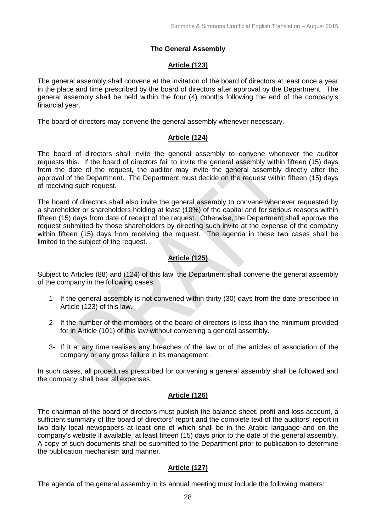# **The General Assembly**

# **Article (123)**

The general assembly shall convene at the invitation of the board of directors at least once a year in the place and time prescribed by the board of directors after approval by the Department. The general assembly shall be held within the four (4) months following the end of the company's financial year.

The board of directors may convene the general assembly whenever necessary.

# **Article (124)**

The board of directors shall invite the general assembly to convene whenever the auditor requests this. If the board of directors fail to invite the general assembly within fifteen (15) days from the date of the request, the auditor may invite the general assembly directly after the approval of the Department. The Department must decide on the request within fifteen (15) days of receiving such request.

The board of directors shall also invite the general assembly to convene whenever requested by a shareholder or shareholders holding at least (10%) of the capital and for serious reasons within fifteen (15) days from date of receipt of the request. Otherwise, the Department shall approve the request submitted by those shareholders by directing such invite at the expense of the company within fifteen (15) days from receiving the request. The agenda in these two cases shall be limited to the subject of the request.

# **Article (125)**

Subject to Articles (88) and (124) of this law, the Department shall convene the general assembly of the company in the following cases:

- 1- If the general assembly is not convened within thirty (30) days from the date prescribed in Article (123) of this law.
- 2- If the number of the members of the board of directors is less than the minimum provided for in Article (101) of this law without convening a general assembly.
- 3- If it at any time realises any breaches of the law or of the articles of association of the company or any gross failure in its management.

In such cases, all procedures prescribed for convening a general assembly shall be followed and the company shall bear all expenses.

# **Article (126)**

The chairman of the board of directors must publish the balance sheet, profit and loss account, a sufficient summary of the board of directors' report and the complete text of the auditors' report in two daily local newspapers at least one of which shall be in the Arabic language and on the company's website if available, at least fifteen (15) days prior to the date of the general assembly. A copy of such documents shall be submitted to the Department prior to publication to determine the publication mechanism and manner.

# **Article (127)**

The agenda of the general assembly in its annual meeting must include the following matters: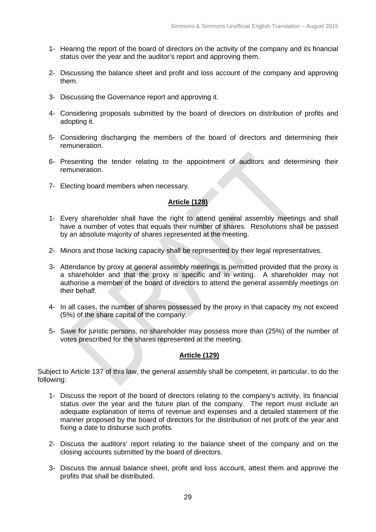- 1- Hearing the report of the board of directors on the activity of the company and its financial status over the year and the auditor's report and approving them.
- 2- Discussing the balance sheet and profit and loss account of the company and approving them.
- 3- Discussing the Governance report and approving it.
- 4- Considering proposals submitted by the board of directors on distribution of profits and adopting it.
- 5- Considering discharging the members of the board of directors and determining their remuneration.
- 6- Presenting the tender relating to the appointment of auditors and determining their remuneration.
- 7- Electing board members when necessary.

### **Article (128)**

- 1- Every shareholder shall have the right to attend general assembly meetings and shall have a number of votes that equals their number of shares. Resolutions shall be passed by an absolute majority of shares represented at the meeting.
- 2- Minors and those lacking capacity shall be represented by their legal representatives.
- 3- Attendance by proxy at general assembly meetings is permitted provided that the proxy is a shareholder and that the proxy is specific and in writing. A shareholder may not authorise a member of the board of directors to attend the general assembly meetings on their behalf.
- 4- In all cases, the number of shares possessed by the proxy in that capacity my not exceed (5%) of the share capital of the company.
- 5- Save for juristic persons, no shareholder may possess more than (25%) of the number of votes prescribed for the shares represented at the meeting.

#### **Article (129)**

Subject to Article 137 of this law, the general assembly shall be competent, in particular, to do the following:

- 1- Discuss the report of the board of directors relating to the company's activity, its financial status over the year and the future plan of the company. The report must include an adequate explanation of items of revenue and expenses and a detailed statement of the manner proposed by the board of directors for the distribution of net profit of the year and fixing a date to disburse such profits.
- 2- Discuss the auditors' report relating to the balance sheet of the company and on the closing accounts submitted by the board of directors.
- 3- Discuss the annual balance sheet, profit and loss account, attest them and approve the profits that shall be distributed.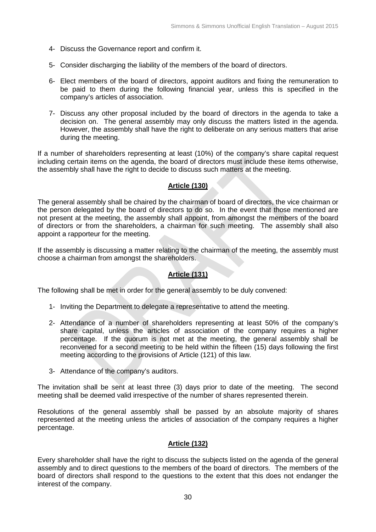- 4- Discuss the Governance report and confirm it.
- 5- Consider discharging the liability of the members of the board of directors.
- 6- Elect members of the board of directors, appoint auditors and fixing the remuneration to be paid to them during the following financial year, unless this is specified in the company's articles of association.
- 7- Discuss any other proposal included by the board of directors in the agenda to take a decision on. The general assembly may only discuss the matters listed in the agenda. However, the assembly shall have the right to deliberate on any serious matters that arise during the meeting.

If a number of shareholders representing at least (10%) of the company's share capital request including certain items on the agenda, the board of directors must include these items otherwise, the assembly shall have the right to decide to discuss such matters at the meeting.

### **Article (130)**

The general assembly shall be chaired by the chairman of board of directors, the vice chairman or the person delegated by the board of directors to do so. In the event that those mentioned are not present at the meeting, the assembly shall appoint, from amongst the members of the board of directors or from the shareholders, a chairman for such meeting. The assembly shall also appoint a rapporteur for the meeting.

If the assembly is discussing a matter relating to the chairman of the meeting, the assembly must choose a chairman from amongst the shareholders.

# **Article (131)**

The following shall be met in order for the general assembly to be duly convened:

- 1- Inviting the Department to delegate a representative to attend the meeting.
- 2- Attendance of a number of shareholders representing at least 50% of the company's share capital, unless the articles of association of the company requires a higher percentage. If the quorum is not met at the meeting, the general assembly shall be reconvened for a second meeting to be held within the fifteen (15) days following the first meeting according to the provisions of Article (121) of this law.
- 3- Attendance of the company's auditors.

The invitation shall be sent at least three (3) days prior to date of the meeting. The second meeting shall be deemed valid irrespective of the number of shares represented therein.

Resolutions of the general assembly shall be passed by an absolute majority of shares represented at the meeting unless the articles of association of the company requires a higher percentage.

### **Article (132)**

Every shareholder shall have the right to discuss the subjects listed on the agenda of the general assembly and to direct questions to the members of the board of directors. The members of the board of directors shall respond to the questions to the extent that this does not endanger the interest of the company.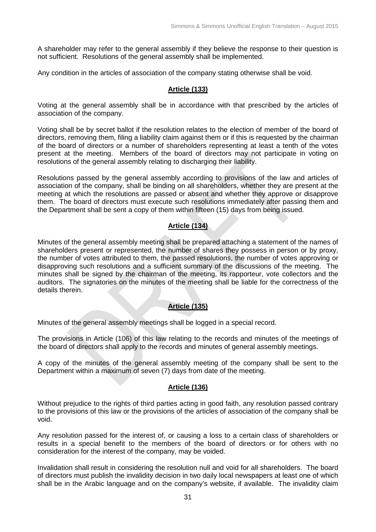A shareholder may refer to the general assembly if they believe the response to their question is not sufficient. Resolutions of the general assembly shall be implemented.

Any condition in the articles of association of the company stating otherwise shall be void.

### **Article (133)**

Voting at the general assembly shall be in accordance with that prescribed by the articles of association of the company.

Voting shall be by secret ballot if the resolution relates to the election of member of the board of directors, removing them, filing a liability claim against them or if this is requested by the chairman of the board of directors or a number of shareholders representing at least a tenth of the votes present at the meeting. Members of the board of directors may not participate in voting on resolutions of the general assembly relating to discharging their liability.

Resolutions passed by the general assembly according to provisions of the law and articles of association of the company, shall be binding on all shareholders, whether they are present at the meeting at which the resolutions are passed or absent and whether they approve or disapprove them. The board of directors must execute such resolutions immediately after passing them and the Department shall be sent a copy of them within fifteen (15) days from being issued.

# **Article (134)**

Minutes of the general assembly meeting shall be prepared attaching a statement of the names of shareholders present or represented, the number of shares they possess in person or by proxy, the number of votes attributed to them, the passed resolutions, the number of votes approving or disapproving such resolutions and a sufficient summary of the discussions of the meeting. The minutes shall be signed by the chairman of the meeting, its rapporteur, vote collectors and the auditors. The signatories on the minutes of the meeting shall be liable for the correctness of the details therein.

# **Article (135)**

Minutes of the general assembly meetings shall be logged in a special record.

The provisions in Article (106) of this law relating to the records and minutes of the meetings of the board of directors shall apply to the records and minutes of general assembly meetings.

A copy of the minutes of the general assembly meeting of the company shall be sent to the Department within a maximum of seven (7) days from date of the meeting.

# **Article (136)**

Without prejudice to the rights of third parties acting in good faith, any resolution passed contrary to the provisions of this law or the provisions of the articles of association of the company shall be void.

Any resolution passed for the interest of, or causing a loss to a certain class of shareholders or results in a special benefit to the members of the board of directors or for others with no consideration for the interest of the company, may be voided.

Invalidation shall result in considering the resolution null and void for all shareholders. The board of directors must publish the invalidity decision in two daily local newspapers at least one of which shall be in the Arabic language and on the company's website, if available. The invalidity claim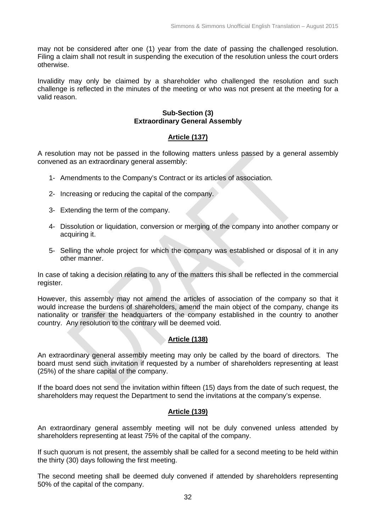may not be considered after one (1) year from the date of passing the challenged resolution. Filing a claim shall not result in suspending the execution of the resolution unless the court orders otherwise.

Invalidity may only be claimed by a shareholder who challenged the resolution and such challenge is reflected in the minutes of the meeting or who was not present at the meeting for a valid reason.

#### **Sub-Section (3) Extraordinary General Assembly**

# **Article (137)**

A resolution may not be passed in the following matters unless passed by a general assembly convened as an extraordinary general assembly:

- 1- Amendments to the Company's Contract or its articles of association.
- 2- Increasing or reducing the capital of the company.
- 3- Extending the term of the company.
- 4- Dissolution or liquidation, conversion or merging of the company into another company or acquiring it.
- 5- Selling the whole project for which the company was established or disposal of it in any other manner.

In case of taking a decision relating to any of the matters this shall be reflected in the commercial register.

However, this assembly may not amend the articles of association of the company so that it would increase the burdens of shareholders, amend the main object of the company, change its nationality or transfer the headquarters of the company established in the country to another country. Any resolution to the contrary will be deemed void.

### **Article (138)**

An extraordinary general assembly meeting may only be called by the board of directors. The board must send such invitation if requested by a number of shareholders representing at least (25%) of the share capital of the company.

If the board does not send the invitation within fifteen (15) days from the date of such request, the shareholders may request the Department to send the invitations at the company's expense.

### **Article (139)**

An extraordinary general assembly meeting will not be duly convened unless attended by shareholders representing at least 75% of the capital of the company.

If such quorum is not present, the assembly shall be called for a second meeting to be held within the thirty (30) days following the first meeting.

The second meeting shall be deemed duly convened if attended by shareholders representing 50% of the capital of the company.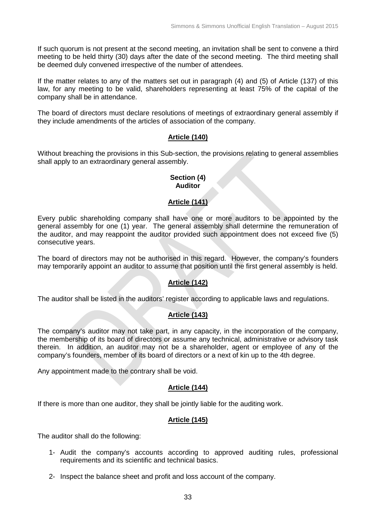If such quorum is not present at the second meeting, an invitation shall be sent to convene a third meeting to be held thirty (30) days after the date of the second meeting. The third meeting shall be deemed duly convened irrespective of the number of attendees.

If the matter relates to any of the matters set out in paragraph (4) and (5) of Article (137) of this law, for any meeting to be valid, shareholders representing at least 75% of the capital of the company shall be in attendance.

The board of directors must declare resolutions of meetings of extraordinary general assembly if they include amendments of the articles of association of the company.

### **Article (140)**

Without breaching the provisions in this Sub-section, the provisions relating to general assemblies shall apply to an extraordinary general assembly.

#### **Section (4) Auditor**

### **Article (141)**

Every public shareholding company shall have one or more auditors to be appointed by the general assembly for one (1) year. The general assembly shall determine the remuneration of the auditor, and may reappoint the auditor provided such appointment does not exceed five (5) consecutive years.

The board of directors may not be authorised in this regard. However, the company's founders may temporarily appoint an auditor to assume that position until the first general assembly is held.

### **Article (142)**

The auditor shall be listed in the auditors' register according to applicable laws and regulations.

### **Article (143)**

The company's auditor may not take part, in any capacity, in the incorporation of the company, the membership of its board of directors or assume any technical, administrative or advisory task therein. In addition, an auditor may not be a shareholder, agent or employee of any of the company's founders, member of its board of directors or a next of kin up to the 4th degree.

Any appointment made to the contrary shall be void.

### **Article (144)**

If there is more than one auditor, they shall be jointly liable for the auditing work.

# **Article (145)**

The auditor shall do the following:

- 1- Audit the company's accounts according to approved auditing rules, professional requirements and its scientific and technical basics.
- 2- Inspect the balance sheet and profit and loss account of the company.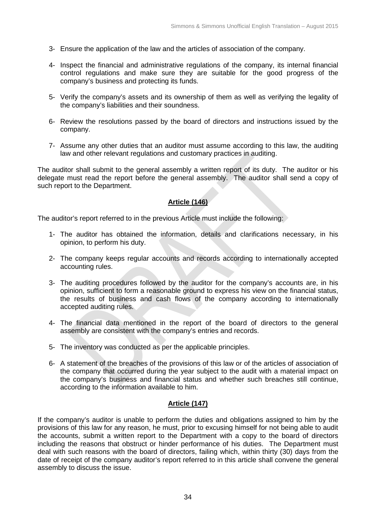- 3- Ensure the application of the law and the articles of association of the company.
- 4- Inspect the financial and administrative regulations of the company, its internal financial control regulations and make sure they are suitable for the good progress of the company's business and protecting its funds.
- 5- Verify the company's assets and its ownership of them as well as verifying the legality of the company's liabilities and their soundness.
- 6- Review the resolutions passed by the board of directors and instructions issued by the company.
- 7- Assume any other duties that an auditor must assume according to this law, the auditing law and other relevant regulations and customary practices in auditing.

The auditor shall submit to the general assembly a written report of its duty. The auditor or his delegate must read the report before the general assembly. The auditor shall send a copy of such report to the Department.

### **Article (146)**

The auditor's report referred to in the previous Article must include the following:

- 1- The auditor has obtained the information, details and clarifications necessary, in his opinion, to perform his duty.
- 2- The company keeps regular accounts and records according to internationally accepted accounting rules.
- 3- The auditing procedures followed by the auditor for the company's accounts are, in his opinion, sufficient to form a reasonable ground to express his view on the financial status, the results of business and cash flows of the company according to internationally accepted auditing rules.
- 4- The financial data mentioned in the report of the board of directors to the general assembly are consistent with the company's entries and records.
- 5- The inventory was conducted as per the applicable principles.
- 6- A statement of the breaches of the provisions of this law or of the articles of association of the company that occurred during the year subject to the audit with a material impact on the company's business and financial status and whether such breaches still continue, according to the information available to him.

### **Article (147)**

If the company's auditor is unable to perform the duties and obligations assigned to him by the provisions of this law for any reason, he must, prior to excusing himself for not being able to audit the accounts, submit a written report to the Department with a copy to the board of directors including the reasons that obstruct or hinder performance of his duties. The Department must deal with such reasons with the board of directors, failing which, within thirty (30) days from the date of receipt of the company auditor's report referred to in this article shall convene the general assembly to discuss the issue.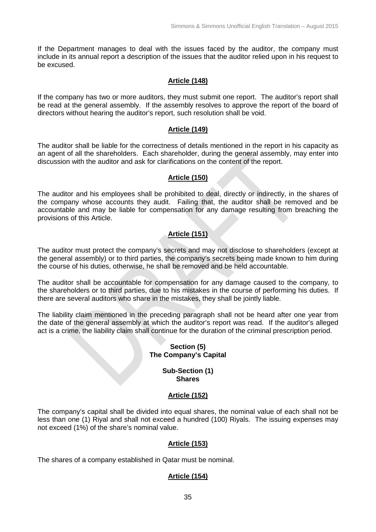If the Department manages to deal with the issues faced by the auditor, the company must include in its annual report a description of the issues that the auditor relied upon in his request to be excused.

### **Article (148)**

If the company has two or more auditors, they must submit one report. The auditor's report shall be read at the general assembly. If the assembly resolves to approve the report of the board of directors without hearing the auditor's report, such resolution shall be void.

### **Article (149)**

The auditor shall be liable for the correctness of details mentioned in the report in his capacity as an agent of all the shareholders. Each shareholder, during the general assembly, may enter into discussion with the auditor and ask for clarifications on the content of the report.

#### **Article (150)**

The auditor and his employees shall be prohibited to deal, directly or indirectly, in the shares of the company whose accounts they audit. Failing that, the auditor shall be removed and be accountable and may be liable for compensation for any damage resulting from breaching the provisions of this Article.

### **Article (151)**

The auditor must protect the company's secrets and may not disclose to shareholders (except at the general assembly) or to third parties, the company's secrets being made known to him during the course of his duties, otherwise, he shall be removed and be held accountable.

The auditor shall be accountable for compensation for any damage caused to the company, to the shareholders or to third parties, due to his mistakes in the course of performing his duties. If there are several auditors who share in the mistakes, they shall be jointly liable.

The liability claim mentioned in the preceding paragraph shall not be heard after one year from the date of the general assembly at which the auditor's report was read. If the auditor's alleged act is a crime, the liability claim shall continue for the duration of the criminal prescription period.

### **Section (5) The Company's Capital**

#### **Sub-Section (1) Shares**

### **Article (152)**

The company's capital shall be divided into equal shares, the nominal value of each shall not be less than one (1) Riyal and shall not exceed a hundred (100) Riyals. The issuing expenses may not exceed (1%) of the share's nominal value.

#### **Article (153)**

The shares of a company established in Qatar must be nominal.

# **Article (154)**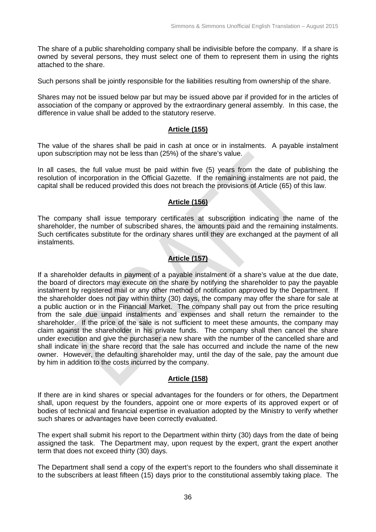The share of a public shareholding company shall be indivisible before the company. If a share is owned by several persons, they must select one of them to represent them in using the rights attached to the share.

Such persons shall be jointly responsible for the liabilities resulting from ownership of the share.

Shares may not be issued below par but may be issued above par if provided for in the articles of association of the company or approved by the extraordinary general assembly. In this case, the difference in value shall be added to the statutory reserve.

### **Article (155)**

The value of the shares shall be paid in cash at once or in instalments. A payable instalment upon subscription may not be less than (25%) of the share's value.

In all cases, the full value must be paid within five (5) years from the date of publishing the resolution of incorporation in the Official Gazette. If the remaining instalments are not paid, the capital shall be reduced provided this does not breach the provisions of Article (65) of this law.

### **Article (156)**

The company shall issue temporary certificates at subscription indicating the name of the shareholder, the number of subscribed shares, the amounts paid and the remaining instalments. Such certificates substitute for the ordinary shares until they are exchanged at the payment of all instalments.

# **Article (157)**

If a shareholder defaults in payment of a payable instalment of a share's value at the due date, the board of directors may execute on the share by notifying the shareholder to pay the payable instalment by registered mail or any other method of notification approved by the Department. If the shareholder does not pay within thirty (30) days, the company may offer the share for sale at a public auction or in the Financial Market. The company shall pay out from the price resulting from the sale due unpaid instalments and expenses and shall return the remainder to the shareholder. If the price of the sale is not sufficient to meet these amounts, the company may claim against the shareholder in his private funds. The company shall then cancel the share under execution and give the purchaser a new share with the number of the cancelled share and shall indicate in the share record that the sale has occurred and include the name of the new owner. However, the defaulting shareholder may, until the day of the sale, pay the amount due by him in addition to the costs incurred by the company.

### **Article (158)**

If there are in kind shares or special advantages for the founders or for others, the Department shall, upon request by the founders, appoint one or more experts of its approved expert or of bodies of technical and financial expertise in evaluation adopted by the Ministry to verify whether such shares or advantages have been correctly evaluated.

The expert shall submit his report to the Department within thirty (30) days from the date of being assigned the task. The Department may, upon request by the expert, grant the expert another term that does not exceed thirty (30) days.

The Department shall send a copy of the expert's report to the founders who shall disseminate it to the subscribers at least fifteen (15) days prior to the constitutional assembly taking place. The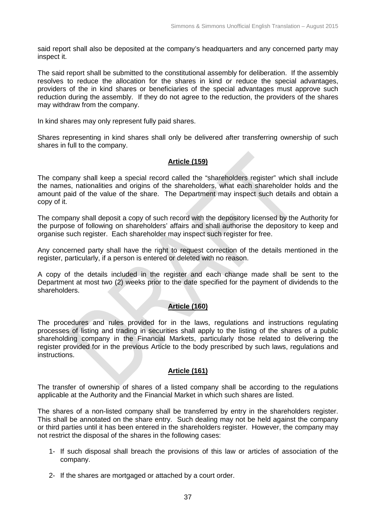said report shall also be deposited at the company's headquarters and any concerned party may inspect it.

The said report shall be submitted to the constitutional assembly for deliberation. If the assembly resolves to reduce the allocation for the shares in kind or reduce the special advantages, providers of the in kind shares or beneficiaries of the special advantages must approve such reduction during the assembly. If they do not agree to the reduction, the providers of the shares may withdraw from the company.

In kind shares may only represent fully paid shares.

Shares representing in kind shares shall only be delivered after transferring ownership of such shares in full to the company.

## **Article (159)**

The company shall keep a special record called the "shareholders register" which shall include the names, nationalities and origins of the shareholders, what each shareholder holds and the amount paid of the value of the share. The Department may inspect such details and obtain a copy of it.

The company shall deposit a copy of such record with the depository licensed by the Authority for the purpose of following on shareholders' affairs and shall authorise the depository to keep and organise such register. Each shareholder may inspect such register for free.

Any concerned party shall have the right to request correction of the details mentioned in the register, particularly, if a person is entered or deleted with no reason.

A copy of the details included in the register and each change made shall be sent to the Department at most two (2) weeks prior to the date specified for the payment of dividends to the shareholders.

## **Article (160)**

The procedures and rules provided for in the laws, regulations and instructions regulating processes of listing and trading in securities shall apply to the listing of the shares of a public shareholding company in the Financial Markets, particularly those related to delivering the register provided for in the previous Article to the body prescribed by such laws, regulations and instructions.

### **Article (161)**

The transfer of ownership of shares of a listed company shall be according to the regulations applicable at the Authority and the Financial Market in which such shares are listed.

The shares of a non-listed company shall be transferred by entry in the shareholders register. This shall be annotated on the share entry. Such dealing may not be held against the company or third parties until it has been entered in the shareholders register. However, the company may not restrict the disposal of the shares in the following cases:

- 1- If such disposal shall breach the provisions of this law or articles of association of the company.
- 2- If the shares are mortgaged or attached by a court order.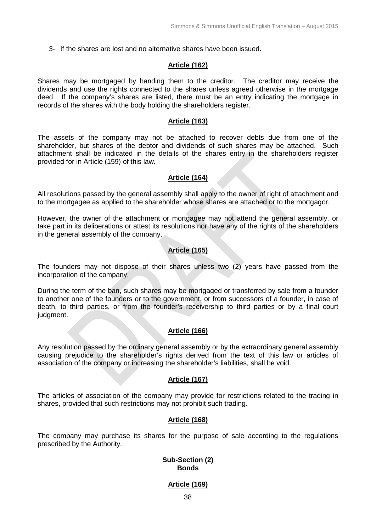3- If the shares are lost and no alternative shares have been issued.

#### **Article (162)**

Shares may be mortgaged by handing them to the creditor. The creditor may receive the dividends and use the rights connected to the shares unless agreed otherwise in the mortgage deed. If the company's shares are listed, there must be an entry indicating the mortgage in records of the shares with the body holding the shareholders register.

#### **Article (163)**

The assets of the company may not be attached to recover debts due from one of the shareholder, but shares of the debtor and dividends of such shares may be attached. Such attachment shall be indicated in the details of the shares entry in the shareholders register provided for in Article (159) of this law.

#### **Article (164)**

All resolutions passed by the general assembly shall apply to the owner of right of attachment and to the mortgagee as applied to the shareholder whose shares are attached or to the mortgagor.

However, the owner of the attachment or mortgagee may not attend the general assembly, or take part in its deliberations or attest its resolutions nor have any of the rights of the shareholders in the general assembly of the company.

### **Article (165)**

The founders may not dispose of their shares unless two (2) years have passed from the incorporation of the company.

During the term of the ban, such shares may be mortgaged or transferred by sale from a founder to another one of the founders or to the government, or from successors of a founder, in case of death, to third parties, or from the founder's receivership to third parties or by a final court judgment.

### **Article (166)**

Any resolution passed by the ordinary general assembly or by the extraordinary general assembly causing prejudice to the shareholder's rights derived from the text of this law or articles of association of the company or increasing the shareholder's liabilities, shall be void.

### **Article (167)**

The articles of association of the company may provide for restrictions related to the trading in shares, provided that such restrictions may not prohibit such trading.

#### **Article (168)**

The company may purchase its shares for the purpose of sale according to the regulations prescribed by the Authority.

#### **Sub-Section (2) Bonds**

#### **Article (169)**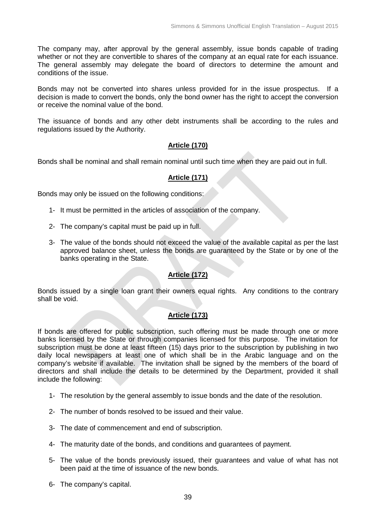The company may, after approval by the general assembly, issue bonds capable of trading whether or not they are convertible to shares of the company at an equal rate for each issuance. The general assembly may delegate the board of directors to determine the amount and conditions of the issue.

Bonds may not be converted into shares unless provided for in the issue prospectus. If a decision is made to convert the bonds, only the bond owner has the right to accept the conversion or receive the nominal value of the bond.

The issuance of bonds and any other debt instruments shall be according to the rules and regulations issued by the Authority.

### **Article (170)**

Bonds shall be nominal and shall remain nominal until such time when they are paid out in full.

### **Article (171)**

Bonds may only be issued on the following conditions:

- 1- It must be permitted in the articles of association of the company.
- 2- The company's capital must be paid up in full.
- 3- The value of the bonds should not exceed the value of the available capital as per the last approved balance sheet, unless the bonds are guaranteed by the State or by one of the banks operating in the State.

### **Article (172)**

Bonds issued by a single loan grant their owners equal rights. Any conditions to the contrary shall be void.

### **Article (173)**

If bonds are offered for public subscription, such offering must be made through one or more banks licensed by the State or through companies licensed for this purpose. The invitation for subscription must be done at least fifteen (15) days prior to the subscription by publishing in two daily local newspapers at least one of which shall be in the Arabic language and on the company's website if available. The invitation shall be signed by the members of the board of directors and shall include the details to be determined by the Department, provided it shall include the following:

- 1- The resolution by the general assembly to issue bonds and the date of the resolution.
- 2- The number of bonds resolved to be issued and their value.
- 3- The date of commencement and end of subscription.
- 4- The maturity date of the bonds, and conditions and guarantees of payment.
- 5- The value of the bonds previously issued, their guarantees and value of what has not been paid at the time of issuance of the new bonds.
- 6- The company's capital.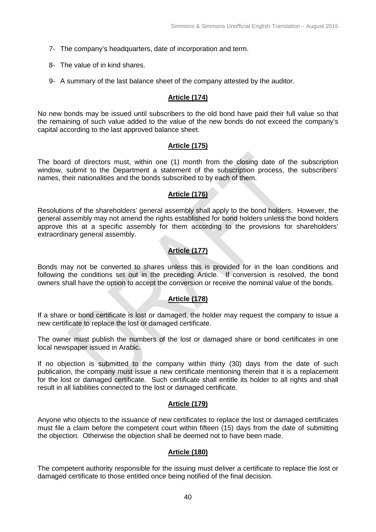- 7- The company's headquarters, date of incorporation and term.
- 8- The value of in kind shares.
- 9- A summary of the last balance sheet of the company attested by the auditor.

#### **Article (174)**

No new bonds may be issued until subscribers to the old bond have paid their full value so that the remaining of such value added to the value of the new bonds do not exceed the company's capital according to the last approved balance sheet.

### **Article (175)**

The board of directors must, within one (1) month from the closing date of the subscription window, submit to the Department a statement of the subscription process, the subscribers' names, their nationalities and the bonds subscribed to by each of them.

### **Article (176)**

Resolutions of the shareholders' general assembly shall apply to the bond holders. However, the general assembly may not amend the rights established for bond holders unless the bond holders approve this at a specific assembly for them according to the provisions for shareholders' extraordinary general assembly.

## **Article (177)**

Bonds may not be converted to shares unless this is provided for in the loan conditions and following the conditions set out in the preceding Article. If conversion is resolved, the bond owners shall have the option to accept the conversion or receive the nominal value of the bonds.

## **Article (178)**

If a share or bond certificate is lost or damaged, the holder may request the company to issue a new certificate to replace the lost or damaged certificate.

The owner must publish the numbers of the lost or damaged share or bond certificates in one local newspaper issued in Arabic.

If no objection is submitted to the company within thirty (30) days from the date of such publication, the company must issue a new certificate mentioning therein that it is a replacement for the lost or damaged certificate. Such certificate shall entitle its holder to all rights and shall result in all liabilities connected to the lost or damaged certificate.

### **Article (179)**

Anyone who objects to the issuance of new certificates to replace the lost or damaged certificates must file a claim before the competent court within fifteen (15) days from the date of submitting the objection. Otherwise the objection shall be deemed not to have been made.

### **Article (180)**

The competent authority responsible for the issuing must deliver a certificate to replace the lost or damaged certificate to those entitled once being notified of the final decision.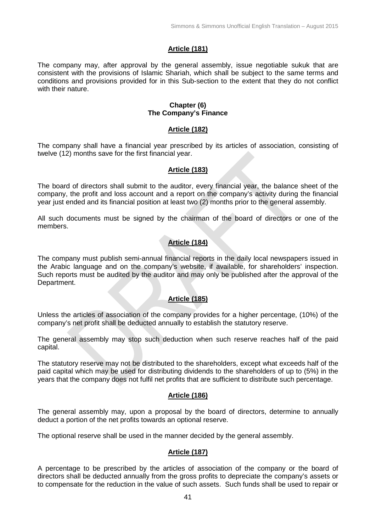### **Article (181)**

The company may, after approval by the general assembly, issue negotiable sukuk that are consistent with the provisions of Islamic Shariah, which shall be subject to the same terms and conditions and provisions provided for in this Sub-section to the extent that they do not conflict with their nature.

#### **Chapter (6) The Company's Finance**

#### **Article (182)**

The company shall have a financial year prescribed by its articles of association, consisting of twelve (12) months save for the first financial year.

### **Article (183)**

The board of directors shall submit to the auditor, every financial year, the balance sheet of the company, the profit and loss account and a report on the company's activity during the financial year just ended and its financial position at least two (2) months prior to the general assembly.

All such documents must be signed by the chairman of the board of directors or one of the members.

## **Article (184)**

The company must publish semi-annual financial reports in the daily local newspapers issued in the Arabic language and on the company's website, if available, for shareholders' inspection. Such reports must be audited by the auditor and may only be published after the approval of the Department.

## **Article (185)**

Unless the articles of association of the company provides for a higher percentage, (10%) of the company's net profit shall be deducted annually to establish the statutory reserve.

The general assembly may stop such deduction when such reserve reaches half of the paid capital.

The statutory reserve may not be distributed to the shareholders, except what exceeds half of the paid capital which may be used for distributing dividends to the shareholders of up to (5%) in the years that the company does not fulfil net profits that are sufficient to distribute such percentage.

### **Article (186)**

The general assembly may, upon a proposal by the board of directors, determine to annually deduct a portion of the net profits towards an optional reserve.

The optional reserve shall be used in the manner decided by the general assembly.

### **Article (187)**

A percentage to be prescribed by the articles of association of the company or the board of directors shall be deducted annually from the gross profits to depreciate the company's assets or to compensate for the reduction in the value of such assets. Such funds shall be used to repair or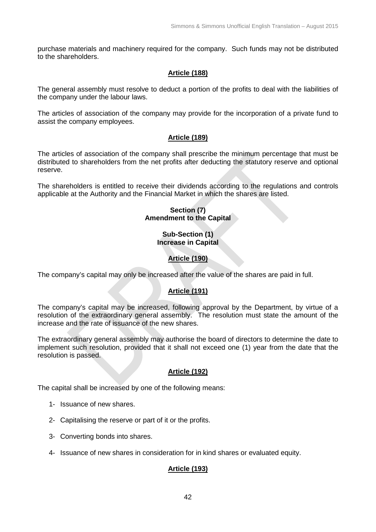purchase materials and machinery required for the company. Such funds may not be distributed to the shareholders.

### **Article (188)**

The general assembly must resolve to deduct a portion of the profits to deal with the liabilities of the company under the labour laws.

The articles of association of the company may provide for the incorporation of a private fund to assist the company employees.

### **Article (189)**

The articles of association of the company shall prescribe the minimum percentage that must be distributed to shareholders from the net profits after deducting the statutory reserve and optional reserve.

The shareholders is entitled to receive their dividends according to the regulations and controls applicable at the Authority and the Financial Market in which the shares are listed.

### **Section (7) Amendment to the Capital**

#### **Sub-Section (1) Increase in Capital**

## **Article (190)**

The company's capital may only be increased after the value of the shares are paid in full.

## **Article (191)**

The company's capital may be increased, following approval by the Department, by virtue of a resolution of the extraordinary general assembly. The resolution must state the amount of the increase and the rate of issuance of the new shares.

The extraordinary general assembly may authorise the board of directors to determine the date to implement such resolution, provided that it shall not exceed one (1) year from the date that the resolution is passed.

### **Article (192)**

The capital shall be increased by one of the following means:

- 1- Issuance of new shares.
- 2- Capitalising the reserve or part of it or the profits.
- 3- Converting bonds into shares.
- 4- Issuance of new shares in consideration for in kind shares or evaluated equity.

## **Article (193)**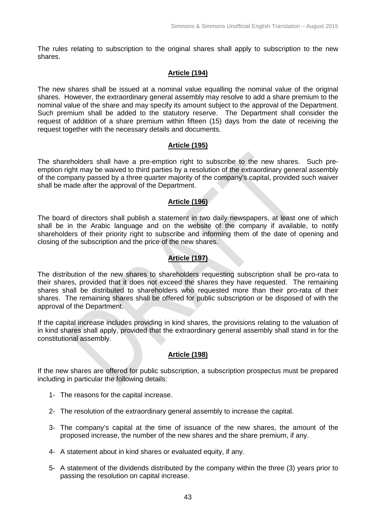The rules relating to subscription to the original shares shall apply to subscription to the new shares.

### **Article (194)**

The new shares shall be issued at a nominal value equalling the nominal value of the original shares. However, the extraordinary general assembly may resolve to add a share premium to the nominal value of the share and may specify its amount subject to the approval of the Department. Such premium shall be added to the statutory reserve. The Department shall consider the request of addition of a share premium within fifteen (15) days from the date of receiving the request together with the necessary details and documents.

#### **Article (195)**

The shareholders shall have a pre-emption right to subscribe to the new shares. Such preemption right may be waived to third parties by a resolution of the extraordinary general assembly of the company passed by a three quarter majority of the company's capital, provided such waiver shall be made after the approval of the Department.

### **Article (196)**

The board of directors shall publish a statement in two daily newspapers, at least one of which shall be in the Arabic language and on the website of the company if available, to notify shareholders of their priority right to subscribe and informing them of the date of opening and closing of the subscription and the price of the new shares.

### **Article (197)**

The distribution of the new shares to shareholders requesting subscription shall be pro-rata to their shares, provided that it does not exceed the shares they have requested. The remaining shares shall be distributed to shareholders who requested more than their pro-rata of their shares. The remaining shares shall be offered for public subscription or be disposed of with the approval of the Department.

If the capital increase includes providing in kind shares, the provisions relating to the valuation of in kind shares shall apply, provided that the extraordinary general assembly shall stand in for the constitutional assembly.

### **Article (198)**

If the new shares are offered for public subscription, a subscription prospectus must be prepared including in particular the following details:

- 1- The reasons for the capital increase.
- 2- The resolution of the extraordinary general assembly to increase the capital.
- 3- The company's capital at the time of issuance of the new shares, the amount of the proposed increase, the number of the new shares and the share premium, if any.
- 4- A statement about in kind shares or evaluated equity, if any.
- 5- A statement of the dividends distributed by the company within the three (3) years prior to passing the resolution on capital increase.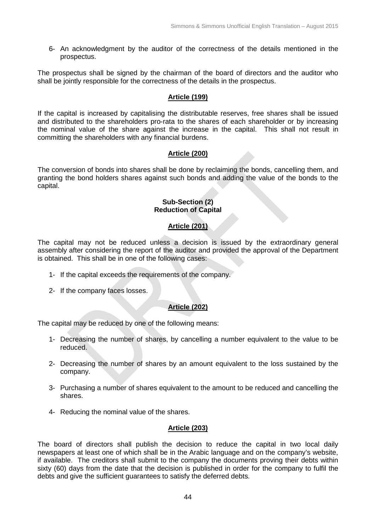6- An acknowledgment by the auditor of the correctness of the details mentioned in the prospectus.

The prospectus shall be signed by the chairman of the board of directors and the auditor who shall be jointly responsible for the correctness of the details in the prospectus.

### **Article (199)**

If the capital is increased by capitalising the distributable reserves, free shares shall be issued and distributed to the shareholders pro-rata to the shares of each shareholder or by increasing the nominal value of the share against the increase in the capital. This shall not result in committing the shareholders with any financial burdens.

### **Article (200)**

The conversion of bonds into shares shall be done by reclaiming the bonds, cancelling them, and granting the bond holders shares against such bonds and adding the value of the bonds to the capital.

#### **Sub-Section (2) Reduction of Capital**

## **Article (201)**

The capital may not be reduced unless a decision is issued by the extraordinary general assembly after considering the report of the auditor and provided the approval of the Department is obtained. This shall be in one of the following cases:

- 1- If the capital exceeds the requirements of the company.
- 2- If the company faces losses.

### **Article (202)**

The capital may be reduced by one of the following means:

- 1- Decreasing the number of shares, by cancelling a number equivalent to the value to be reduced.
- 2- Decreasing the number of shares by an amount equivalent to the loss sustained by the company.
- 3- Purchasing a number of shares equivalent to the amount to be reduced and cancelling the shares.
- 4- Reducing the nominal value of the shares.

## **Article (203)**

The board of directors shall publish the decision to reduce the capital in two local daily newspapers at least one of which shall be in the Arabic language and on the company's website, if available. The creditors shall submit to the company the documents proving their debts within sixty (60) days from the date that the decision is published in order for the company to fulfil the debts and give the sufficient guarantees to satisfy the deferred debts.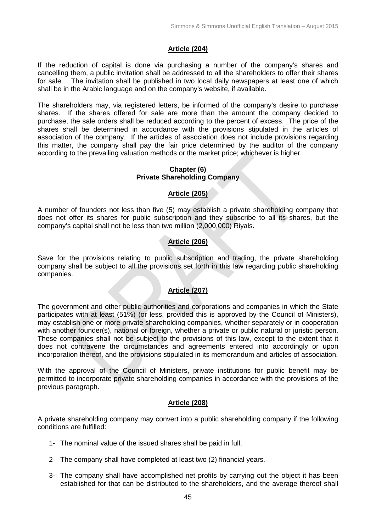### **Article (204)**

If the reduction of capital is done via purchasing a number of the company's shares and cancelling them, a public invitation shall be addressed to all the shareholders to offer their shares for sale. The invitation shall be published in two local daily newspapers at least one of which shall be in the Arabic language and on the company's website, if available.

The shareholders may, via registered letters, be informed of the company's desire to purchase shares. If the shares offered for sale are more than the amount the company decided to purchase, the sale orders shall be reduced according to the percent of excess. The price of the shares shall be determined in accordance with the provisions stipulated in the articles of association of the company. If the articles of association does not include provisions regarding this matter, the company shall pay the fair price determined by the auditor of the company according to the prevailing valuation methods or the market price; whichever is higher.

#### **Chapter (6) Private Shareholding Company**

### **Article (205)**

A number of founders not less than five (5) may establish a private shareholding company that does not offer its shares for public subscription and they subscribe to all its shares, but the company's capital shall not be less than two million (2,000,000) Riyals.

## **Article (206)**

Save for the provisions relating to public subscription and trading, the private shareholding company shall be subject to all the provisions set forth in this law regarding public shareholding companies.

## **Article (207)**

The government and other public authorities and corporations and companies in which the State participates with at least (51%) (or less, provided this is approved by the Council of Ministers), may establish one or more private shareholding companies, whether separately or in cooperation with another founder(s), national or foreign, whether a private or public natural or juristic person. These companies shall not be subject to the provisions of this law, except to the extent that it does not contravene the circumstances and agreements entered into accordingly or upon incorporation thereof, and the provisions stipulated in its memorandum and articles of association.

With the approval of the Council of Ministers, private institutions for public benefit may be permitted to incorporate private shareholding companies in accordance with the provisions of the previous paragraph.

### **Article (208)**

A private shareholding company may convert into a public shareholding company if the following conditions are fulfilled:

- 1- The nominal value of the issued shares shall be paid in full.
- 2- The company shall have completed at least two (2) financial years.
- 3- The company shall have accomplished net profits by carrying out the object it has been established for that can be distributed to the shareholders, and the average thereof shall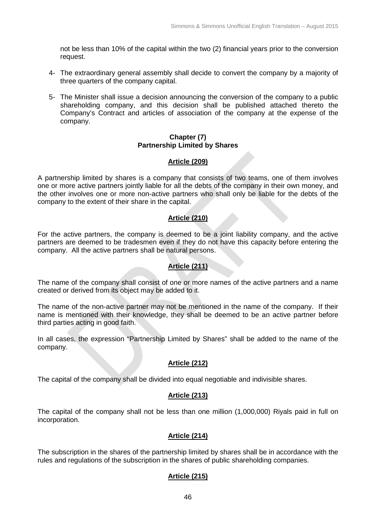not be less than 10% of the capital within the two (2) financial years prior to the conversion request.

- 4- The extraordinary general assembly shall decide to convert the company by a majority of three quarters of the company capital.
- 5- The Minister shall issue a decision announcing the conversion of the company to a public shareholding company, and this decision shall be published attached thereto the Company's Contract and articles of association of the company at the expense of the company.

#### **Chapter (7) Partnership Limited by Shares**

### **Article (209)**

A partnership limited by shares is a company that consists of two teams, one of them involves one or more active partners jointly liable for all the debts of the company in their own money, and the other involves one or more non-active partners who shall only be liable for the debts of the company to the extent of their share in the capital.

### **Article (210)**

For the active partners, the company is deemed to be a joint liability company, and the active partners are deemed to be tradesmen even if they do not have this capacity before entering the company. All the active partners shall be natural persons.

### **Article (211)**

The name of the company shall consist of one or more names of the active partners and a name created or derived from its object may be added to it.

The name of the non-active partner may not be mentioned in the name of the company. If their name is mentioned with their knowledge, they shall be deemed to be an active partner before third parties acting in good faith.

In all cases, the expression "Partnership Limited by Shares" shall be added to the name of the company.

### **Article (212)**

The capital of the company shall be divided into equal negotiable and indivisible shares.

### **Article (213)**

The capital of the company shall not be less than one million (1,000,000) Riyals paid in full on incorporation.

## **Article (214)**

The subscription in the shares of the partnership limited by shares shall be in accordance with the rules and regulations of the subscription in the shares of public shareholding companies.

## **Article (215)**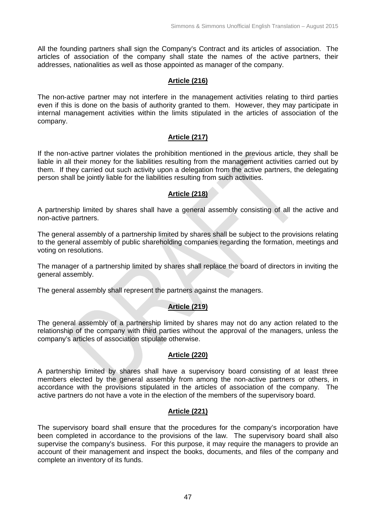All the founding partners shall sign the Company's Contract and its articles of association. The articles of association of the company shall state the names of the active partners, their addresses, nationalities as well as those appointed as manager of the company.

### **Article (216)**

The non-active partner may not interfere in the management activities relating to third parties even if this is done on the basis of authority granted to them. However, they may participate in internal management activities within the limits stipulated in the articles of association of the company.

### **Article (217)**

If the non-active partner violates the prohibition mentioned in the previous article, they shall be liable in all their money for the liabilities resulting from the management activities carried out by them. If they carried out such activity upon a delegation from the active partners, the delegating person shall be jointly liable for the liabilities resulting from such activities.

### **Article (218)**

A partnership limited by shares shall have a general assembly consisting of all the active and non-active partners.

The general assembly of a partnership limited by shares shall be subject to the provisions relating to the general assembly of public shareholding companies regarding the formation, meetings and voting on resolutions.

The manager of a partnership limited by shares shall replace the board of directors in inviting the general assembly.

The general assembly shall represent the partners against the managers.

### **Article (219)**

The general assembly of a partnership limited by shares may not do any action related to the relationship of the company with third parties without the approval of the managers, unless the company's articles of association stipulate otherwise.

#### **Article (220)**

A partnership limited by shares shall have a supervisory board consisting of at least three members elected by the general assembly from among the non-active partners or others, in accordance with the provisions stipulated in the articles of association of the company. The active partners do not have a vote in the election of the members of the supervisory board.

### **Article (221)**

The supervisory board shall ensure that the procedures for the company's incorporation have been completed in accordance to the provisions of the law. The supervisory board shall also supervise the company's business. For this purpose, it may require the managers to provide an account of their management and inspect the books, documents, and files of the company and complete an inventory of its funds.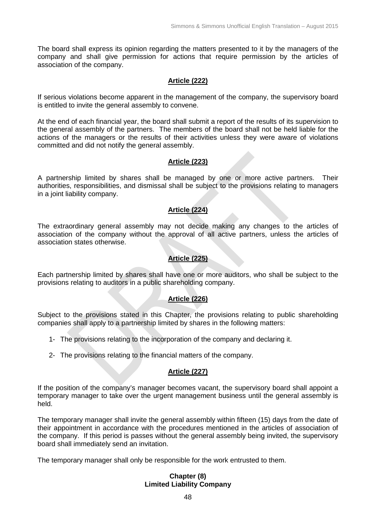The board shall express its opinion regarding the matters presented to it by the managers of the company and shall give permission for actions that require permission by the articles of association of the company.

### **Article (222)**

If serious violations become apparent in the management of the company, the supervisory board is entitled to invite the general assembly to convene.

At the end of each financial year, the board shall submit a report of the results of its supervision to the general assembly of the partners. The members of the board shall not be held liable for the actions of the managers or the results of their activities unless they were aware of violations committed and did not notify the general assembly.

### **Article (223)**

A partnership limited by shares shall be managed by one or more active partners. Their authorities, responsibilities, and dismissal shall be subject to the provisions relating to managers in a joint liability company.

## **Article (224)**

The extraordinary general assembly may not decide making any changes to the articles of association of the company without the approval of all active partners, unless the articles of association states otherwise.

## **Article (225)**

Each partnership limited by shares shall have one or more auditors, who shall be subject to the provisions relating to auditors in a public shareholding company.

### **Article (226)**

Subject to the provisions stated in this Chapter, the provisions relating to public shareholding companies shall apply to a partnership limited by shares in the following matters:

- 1- The provisions relating to the incorporation of the company and declaring it.
- 2- The provisions relating to the financial matters of the company.

### **Article (227)**

If the position of the company's manager becomes vacant, the supervisory board shall appoint a temporary manager to take over the urgent management business until the general assembly is held.

The temporary manager shall invite the general assembly within fifteen (15) days from the date of their appointment in accordance with the procedures mentioned in the articles of association of the company. If this period is passes without the general assembly being invited, the supervisory board shall immediately send an invitation.

The temporary manager shall only be responsible for the work entrusted to them.

### **Chapter (8) Limited Liability Company**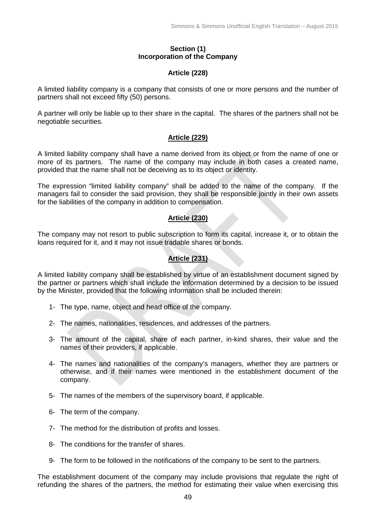#### **Section (1) Incorporation of the Company**

#### **Article (228)**

A limited liability company is a company that consists of one or more persons and the number of partners shall not exceed fifty (50) persons.

A partner will only be liable up to their share in the capital. The shares of the partners shall not be negotiable securities.

### **Article (229)**

A limited liability company shall have a name derived from its object or from the name of one or more of its partners. The name of the company may include in both cases a created name, provided that the name shall not be deceiving as to its object or identity.

The expression "limited liability company" shall be added to the name of the company. If the managers fail to consider the said provision, they shall be responsible jointly in their own assets for the liabilities of the company in addition to compensation.

### **Article (230)**

The company may not resort to public subscription to form its capital, increase it, or to obtain the loans required for it, and it may not issue tradable shares or bonds.

### **Article (231)**

A limited liability company shall be established by virtue of an establishment document signed by the partner or partners which shall include the information determined by a decision to be issued by the Minister, provided that the following information shall be included therein:

- 1- The type, name, object and head office of the company.
- 2- The names, nationalities, residences, and addresses of the partners.
- 3- The amount of the capital, share of each partner, in-kind shares, their value and the names of their providers, if applicable.
- 4- The names and nationalities of the company's managers, whether they are partners or otherwise, and if their names were mentioned in the establishment document of the company.
- 5- The names of the members of the supervisory board, if applicable.
- 6- The term of the company.
- 7- The method for the distribution of profits and losses.
- 8- The conditions for the transfer of shares.
- 9- The form to be followed in the notifications of the company to be sent to the partners.

The establishment document of the company may include provisions that regulate the right of refunding the shares of the partners, the method for estimating their value when exercising this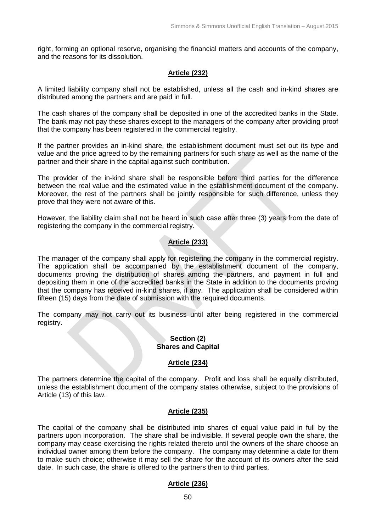right, forming an optional reserve, organising the financial matters and accounts of the company, and the reasons for its dissolution.

### **Article (232)**

A limited liability company shall not be established, unless all the cash and in-kind shares are distributed among the partners and are paid in full.

The cash shares of the company shall be deposited in one of the accredited banks in the State. The bank may not pay these shares except to the managers of the company after providing proof that the company has been registered in the commercial registry.

If the partner provides an in-kind share, the establishment document must set out its type and value and the price agreed to by the remaining partners for such share as well as the name of the partner and their share in the capital against such contribution.

The provider of the in-kind share shall be responsible before third parties for the difference between the real value and the estimated value in the establishment document of the company. Moreover, the rest of the partners shall be jointly responsible for such difference, unless they prove that they were not aware of this.

However, the liability claim shall not be heard in such case after three (3) years from the date of registering the company in the commercial registry.

## **Article (233)**

The manager of the company shall apply for registering the company in the commercial registry. The application shall be accompanied by the establishment document of the company, documents proving the distribution of shares among the partners, and payment in full and depositing them in one of the accredited banks in the State in addition to the documents proving that the company has received in-kind shares, if any. The application shall be considered within fifteen (15) days from the date of submission with the required documents.

The company may not carry out its business until after being registered in the commercial registry.

#### **Section (2) Shares and Capital**

### **Article (234)**

The partners determine the capital of the company. Profit and loss shall be equally distributed, unless the establishment document of the company states otherwise, subject to the provisions of Article (13) of this law.

### **Article (235)**

The capital of the company shall be distributed into shares of equal value paid in full by the partners upon incorporation. The share shall be indivisible. If several people own the share, the company may cease exercising the rights related thereto until the owners of the share choose an individual owner among them before the company. The company may determine a date for them to make such choice; otherwise it may sell the share for the account of its owners after the said date. In such case, the share is offered to the partners then to third parties.

### **Article (236)**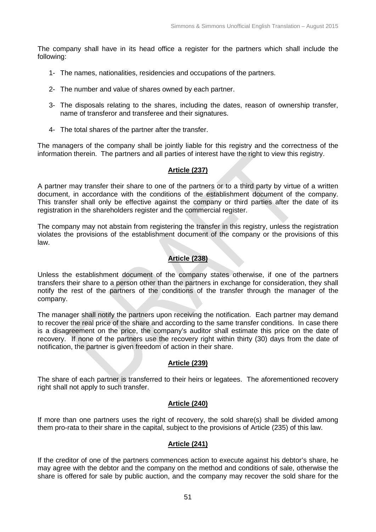The company shall have in its head office a register for the partners which shall include the following:

- 1- The names, nationalities, residencies and occupations of the partners.
- 2- The number and value of shares owned by each partner.
- 3- The disposals relating to the shares, including the dates, reason of ownership transfer, name of transferor and transferee and their signatures.
- 4- The total shares of the partner after the transfer.

The managers of the company shall be jointly liable for this registry and the correctness of the information therein. The partners and all parties of interest have the right to view this registry.

### **Article (237)**

A partner may transfer their share to one of the partners or to a third party by virtue of a written document, in accordance with the conditions of the establishment document of the company. This transfer shall only be effective against the company or third parties after the date of its registration in the shareholders register and the commercial register.

The company may not abstain from registering the transfer in this registry, unless the registration violates the provisions of the establishment document of the company or the provisions of this law.

## **Article (238)**

Unless the establishment document of the company states otherwise, if one of the partners transfers their share to a person other than the partners in exchange for consideration, they shall notify the rest of the partners of the conditions of the transfer through the manager of the company.

The manager shall notify the partners upon receiving the notification. Each partner may demand to recover the real price of the share and according to the same transfer conditions. In case there is a disagreement on the price, the company's auditor shall estimate this price on the date of recovery. If none of the partners use the recovery right within thirty (30) days from the date of notification, the partner is given freedom of action in their share.

### **Article (239)**

The share of each partner is transferred to their heirs or legatees. The aforementioned recovery right shall not apply to such transfer.

### **Article (240)**

If more than one partners uses the right of recovery, the sold share(s) shall be divided among them pro-rata to their share in the capital, subject to the provisions of Article (235) of this law.

### **Article (241)**

If the creditor of one of the partners commences action to execute against his debtor's share, he may agree with the debtor and the company on the method and conditions of sale, otherwise the share is offered for sale by public auction, and the company may recover the sold share for the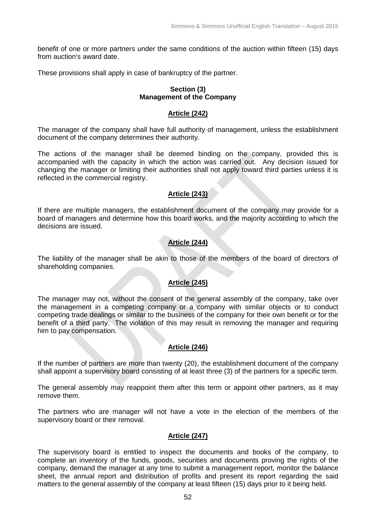benefit of one or more partners under the same conditions of the auction within fifteen (15) days from auction's award date.

These provisions shall apply in case of bankruptcy of the partner.

### **Section (3) Management of the Company**

### **Article (242)**

The manager of the company shall have full authority of management, unless the establishment document of the company determines their authority.

The actions of the manager shall be deemed binding on the company, provided this is accompanied with the capacity in which the action was carried out. Any decision issued for changing the manager or limiting their authorities shall not apply toward third parties unless it is reflected in the commercial registry.

# **Article (243)**

If there are multiple managers, the establishment document of the company may provide for a board of managers and determine how this board works, and the majority according to which the decisions are issued.

## **Article (244)**

The liability of the manager shall be akin to those of the members of the board of directors of shareholding companies.

### **Article (245)**

The manager may not, without the consent of the general assembly of the company, take over the management in a competing company or a company with similar objects or to conduct competing trade dealings or similar to the business of the company for their own benefit or for the benefit of a third party. The violation of this may result in removing the manager and requiring him to pay compensation.

## **Article (246)**

If the number of partners are more than twenty (20), the establishment document of the company shall appoint a supervisory board consisting of at least three (3) of the partners for a specific term.

The general assembly may reappoint them after this term or appoint other partners, as it may remove them.

The partners who are manager will not have a vote in the election of the members of the supervisory board or their removal.

## **Article (247)**

The supervisory board is entitled to inspect the documents and books of the company, to complete an inventory of the funds, goods, securities and documents proving the rights of the company, demand the manager at any time to submit a management report, monitor the balance sheet, the annual report and distribution of profits and present its report regarding the said matters to the general assembly of the company at least fifteen (15) days prior to it being held.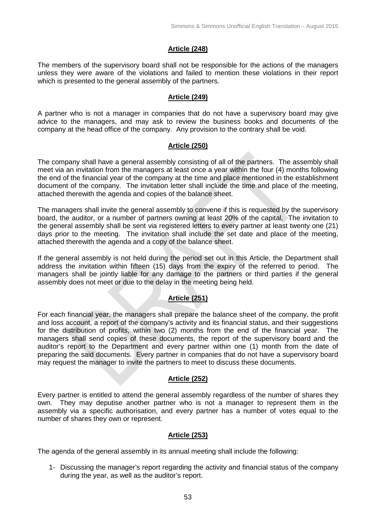### **Article (248)**

The members of the supervisory board shall not be responsible for the actions of the managers unless they were aware of the violations and failed to mention these violations in their report which is presented to the general assembly of the partners.

#### **Article (249)**

A partner who is not a manager in companies that do not have a supervisory board may give advice to the managers, and may ask to review the business books and documents of the company at the head office of the company. Any provision to the contrary shall be void.

#### **Article (250)**

The company shall have a general assembly consisting of all of the partners. The assembly shall meet via an invitation from the managers at least once a year within the four (4) months following the end of the financial year of the company at the time and place mentioned in the establishment document of the company. The invitation letter shall include the time and place of the meeting, attached therewith the agenda and copies of the balance sheet.

The managers shall invite the general assembly to convene if this is requested by the supervisory board, the auditor, or a number of partners owning at least 20% of the capital. The invitation to the general assembly shall be sent via registered letters to every partner at least twenty one (21) days prior to the meeting. The invitation shall include the set date and place of the meeting, attached therewith the agenda and a copy of the balance sheet.

If the general assembly is not held during the period set out in this Article, the Department shall address the invitation within fifteen (15) days from the expiry of the referred to period. The managers shall be jointly liable for any damage to the partners or third parties if the general assembly does not meet or due to the delay in the meeting being held.

## **Article (251)**

For each financial year, the managers shall prepare the balance sheet of the company, the profit and loss account, a report of the company's activity and its financial status, and their suggestions for the distribution of profits, within two (2) months from the end of the financial year. The managers shall send copies of these documents, the report of the supervisory board and the auditor's report to the Department and every partner within one (1) month from the date of preparing the said documents. Every partner in companies that do not have a supervisory board may request the manager to invite the partners to meet to discuss these documents.

### **Article (252)**

Every partner is entitled to attend the general assembly regardless of the number of shares they own. They may deputise another partner who is not a manager to represent them in the assembly via a specific authorisation, and every partner has a number of votes equal to the number of shares they own or represent.

### **Article (253)**

The agenda of the general assembly in its annual meeting shall include the following:

1- Discussing the manager's report regarding the activity and financial status of the company during the year, as well as the auditor's report.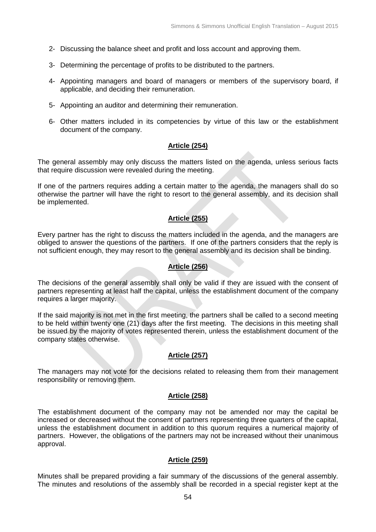- 2- Discussing the balance sheet and profit and loss account and approving them.
- 3- Determining the percentage of profits to be distributed to the partners.
- 4- Appointing managers and board of managers or members of the supervisory board, if applicable, and deciding their remuneration.
- 5- Appointing an auditor and determining their remuneration.
- 6- Other matters included in its competencies by virtue of this law or the establishment document of the company.

### **Article (254)**

The general assembly may only discuss the matters listed on the agenda, unless serious facts that require discussion were revealed during the meeting.

If one of the partners requires adding a certain matter to the agenda, the managers shall do so otherwise the partner will have the right to resort to the general assembly, and its decision shall be implemented.

## **Article (255)**

Every partner has the right to discuss the matters included in the agenda, and the managers are obliged to answer the questions of the partners. If one of the partners considers that the reply is not sufficient enough, they may resort to the general assembly and its decision shall be binding.

### **Article (256)**

The decisions of the general assembly shall only be valid if they are issued with the consent of partners representing at least half the capital, unless the establishment document of the company requires a larger majority.

If the said majority is not met in the first meeting, the partners shall be called to a second meeting to be held within twenty one (21) days after the first meeting. The decisions in this meeting shall be issued by the majority of votes represented therein, unless the establishment document of the company states otherwise.

### **Article (257)**

The managers may not vote for the decisions related to releasing them from their management responsibility or removing them.

### **Article (258)**

The establishment document of the company may not be amended nor may the capital be increased or decreased without the consent of partners representing three quarters of the capital, unless the establishment document in addition to this quorum requires a numerical majority of partners. However, the obligations of the partners may not be increased without their unanimous approval.

### **Article (259)**

Minutes shall be prepared providing a fair summary of the discussions of the general assembly. The minutes and resolutions of the assembly shall be recorded in a special register kept at the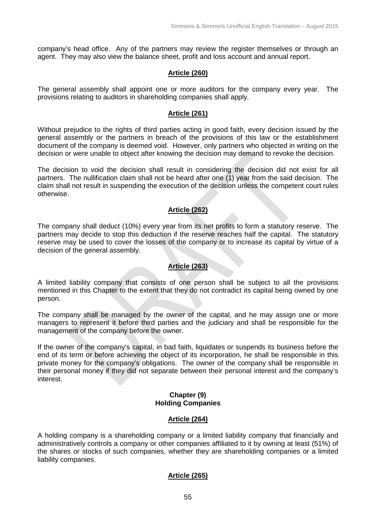company's head office. Any of the partners may review the register themselves or through an agent. They may also view the balance sheet, profit and loss account and annual report.

### **Article (260)**

The general assembly shall appoint one or more auditors for the company every year. The provisions relating to auditors in shareholding companies shall apply.

#### **Article (261)**

Without prejudice to the rights of third parties acting in good faith, every decision issued by the general assembly or the partners in breach of the provisions of this law or the establishment document of the company is deemed void. However, only partners who objected in writing on the decision or were unable to object after knowing the decision may demand to revoke the decision.

The decision to void the decision shall result in considering the decision did not exist for all partners. The nullification claim shall not be heard after one (1) year from the said decision. The claim shall not result in suspending the execution of the decision unless the competent court rules otherwise.

### **Article (262)**

The company shall deduct (10%) every year from its net profits to form a statutory reserve. The partners may decide to stop this deduction if the reserve reaches half the capital. The statutory reserve may be used to cover the losses of the company or to increase its capital by virtue of a decision of the general assembly.

## **Article (263)**

A limited liability company that consists of one person shall be subject to all the provisions mentioned in this Chapter to the extent that they do not contradict its capital being owned by one person.

The company shall be managed by the owner of the capital, and he may assign one or more managers to represent it before third parties and the judiciary and shall be responsible for the management of the company before the owner.

If the owner of the company's capital, in bad faith, liquidates or suspends its business before the end of its term or before achieving the object of its incorporation, he shall be responsible in this private money for the company's obligations. The owner of the company shall be responsible in their personal money if they did not separate between their personal interest and the company's interest.

#### **Chapter (9) Holding Companies**

### **Article (264)**

A holding company is a shareholding company or a limited liability company that financially and administratively controls a company or other companies affiliated to it by owning at least (51%) of the shares or stocks of such companies, whether they are shareholding companies or a limited liability companies.

### **Article (265)**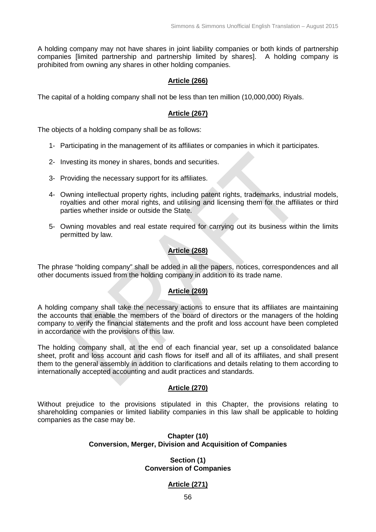A holding company may not have shares in joint liability companies or both kinds of partnership companies [limited partnership and partnership limited by shares]. A holding company is prohibited from owning any shares in other holding companies.

### **Article (266)**

The capital of a holding company shall not be less than ten million (10,000,000) Riyals.

### **Article (267)**

The objects of a holding company shall be as follows:

- 1- Participating in the management of its affiliates or companies in which it participates.
- 2- Investing its money in shares, bonds and securities.
- 3- Providing the necessary support for its affiliates.
- 4- Owning intellectual property rights, including patent rights, trademarks, industrial models, royalties and other moral rights, and utilising and licensing them for the affiliates or third parties whether inside or outside the State.
- 5- Owning movables and real estate required for carrying out its business within the limits permitted by law.

## **Article (268)**

The phrase "holding company" shall be added in all the papers, notices, correspondences and all other documents issued from the holding company in addition to its trade name.

## **Article (269)**

A holding company shall take the necessary actions to ensure that its affiliates are maintaining the accounts that enable the members of the board of directors or the managers of the holding company to verify the financial statements and the profit and loss account have been completed in accordance with the provisions of this law.

The holding company shall, at the end of each financial year, set up a consolidated balance sheet, profit and loss account and cash flows for itself and all of its affiliates, and shall present them to the general assembly in addition to clarifications and details relating to them according to internationally accepted accounting and audit practices and standards.

### **Article (270)**

Without prejudice to the provisions stipulated in this Chapter, the provisions relating to shareholding companies or limited liability companies in this law shall be applicable to holding companies as the case may be.

### **Chapter (10) Conversion, Merger, Division and Acquisition of Companies**

### **Section (1) Conversion of Companies**

### **Article (271)**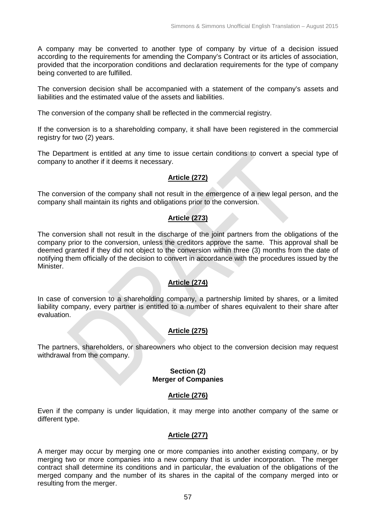A company may be converted to another type of company by virtue of a decision issued according to the requirements for amending the Company's Contract or its articles of association, provided that the incorporation conditions and declaration requirements for the type of company being converted to are fulfilled.

The conversion decision shall be accompanied with a statement of the company's assets and liabilities and the estimated value of the assets and liabilities.

The conversion of the company shall be reflected in the commercial registry.

If the conversion is to a shareholding company, it shall have been registered in the commercial registry for two (2) years.

The Department is entitled at any time to issue certain conditions to convert a special type of company to another if it deems it necessary.

## **Article (272)**

The conversion of the company shall not result in the emergence of a new legal person, and the company shall maintain its rights and obligations prior to the conversion.

# **Article (273)**

The conversion shall not result in the discharge of the joint partners from the obligations of the company prior to the conversion, unless the creditors approve the same. This approval shall be deemed granted if they did not object to the conversion within three (3) months from the date of notifying them officially of the decision to convert in accordance with the procedures issued by the Minister.

## **Article (274)**

In case of conversion to a shareholding company, a partnership limited by shares, or a limited liability company, every partner is entitled to a number of shares equivalent to their share after evaluation.

## **Article (275)**

The partners, shareholders, or shareowners who object to the conversion decision may request withdrawal from the company.

#### **Section (2) Merger of Companies**

### **Article (276)**

Even if the company is under liquidation, it may merge into another company of the same or different type.

## **Article (277)**

A merger may occur by merging one or more companies into another existing company, or by merging two or more companies into a new company that is under incorporation. The merger contract shall determine its conditions and in particular, the evaluation of the obligations of the merged company and the number of its shares in the capital of the company merged into or resulting from the merger.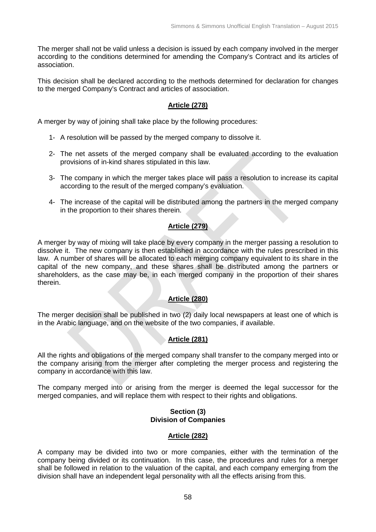The merger shall not be valid unless a decision is issued by each company involved in the merger according to the conditions determined for amending the Company's Contract and its articles of association.

This decision shall be declared according to the methods determined for declaration for changes to the merged Company's Contract and articles of association.

### **Article (278)**

A merger by way of joining shall take place by the following procedures:

- 1- A resolution will be passed by the merged company to dissolve it.
- 2- The net assets of the merged company shall be evaluated according to the evaluation provisions of in-kind shares stipulated in this law.
- 3- The company in which the merger takes place will pass a resolution to increase its capital according to the result of the merged company's evaluation.
- 4- The increase of the capital will be distributed among the partners in the merged company in the proportion to their shares therein.

## **Article (279)**

A merger by way of mixing will take place by every company in the merger passing a resolution to dissolve it. The new company is then established in accordance with the rules prescribed in this law. A number of shares will be allocated to each merging company equivalent to its share in the capital of the new company, and these shares shall be distributed among the partners or shareholders, as the case may be, in each merged company in the proportion of their shares therein.

## **Article (280)**

The merger decision shall be published in two (2) daily local newspapers at least one of which is in the Arabic language, and on the website of the two companies, if available.

### **Article (281)**

All the rights and obligations of the merged company shall transfer to the company merged into or the company arising from the merger after completing the merger process and registering the company in accordance with this law.

The company merged into or arising from the merger is deemed the legal successor for the merged companies, and will replace them with respect to their rights and obligations.

#### **Section (3) Division of Companies**

### **Article (282)**

A company may be divided into two or more companies, either with the termination of the company being divided or its continuation. In this case, the procedures and rules for a merger shall be followed in relation to the valuation of the capital, and each company emerging from the division shall have an independent legal personality with all the effects arising from this.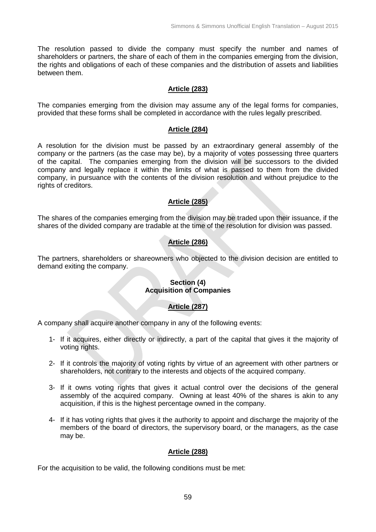The resolution passed to divide the company must specify the number and names of shareholders or partners, the share of each of them in the companies emerging from the division, the rights and obligations of each of these companies and the distribution of assets and liabilities between them.

#### **Article (283)**

The companies emerging from the division may assume any of the legal forms for companies, provided that these forms shall be completed in accordance with the rules legally prescribed.

#### **Article (284)**

A resolution for the division must be passed by an extraordinary general assembly of the company or the partners (as the case may be), by a majority of votes possessing three quarters of the capital. The companies emerging from the division will be successors to the divided company and legally replace it within the limits of what is passed to them from the divided company, in pursuance with the contents of the division resolution and without prejudice to the rights of creditors.

### **Article (285)**

The shares of the companies emerging from the division may be traded upon their issuance, if the shares of the divided company are tradable at the time of the resolution for division was passed.

## **Article (286)**

The partners, shareholders or shareowners who objected to the division decision are entitled to demand exiting the company.

### **Section (4) Acquisition of Companies**

#### **Article (287)**

A company shall acquire another company in any of the following events:

- 1- If it acquires, either directly or indirectly, a part of the capital that gives it the majority of voting rights.
- 2- If it controls the majority of voting rights by virtue of an agreement with other partners or shareholders, not contrary to the interests and objects of the acquired company.
- 3- If it owns voting rights that gives it actual control over the decisions of the general assembly of the acquired company. Owning at least 40% of the shares is akin to any acquisition, if this is the highest percentage owned in the company.
- 4- If it has voting rights that gives it the authority to appoint and discharge the majority of the members of the board of directors, the supervisory board, or the managers, as the case may be.

### **Article (288)**

For the acquisition to be valid, the following conditions must be met: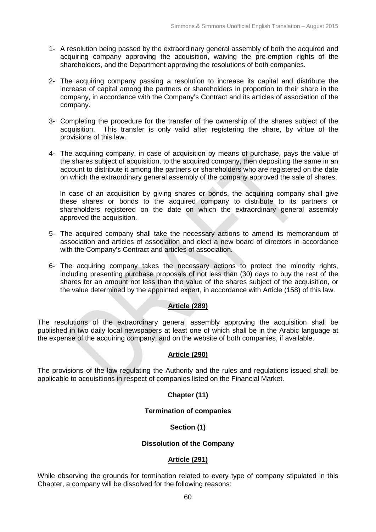- 1- A resolution being passed by the extraordinary general assembly of both the acquired and acquiring company approving the acquisition, waiving the pre-emption rights of the shareholders, and the Department approving the resolutions of both companies.
- 2- The acquiring company passing a resolution to increase its capital and distribute the increase of capital among the partners or shareholders in proportion to their share in the company, in accordance with the Company's Contract and its articles of association of the company.
- 3- Completing the procedure for the transfer of the ownership of the shares subject of the acquisition. This transfer is only valid after registering the share, by virtue of the provisions of this law.
- 4- The acquiring company, in case of acquisition by means of purchase, pays the value of the shares subject of acquisition, to the acquired company, then depositing the same in an account to distribute it among the partners or shareholders who are registered on the date on which the extraordinary general assembly of the company approved the sale of shares.

In case of an acquisition by giving shares or bonds, the acquiring company shall give these shares or bonds to the acquired company to distribute to its partners or shareholders registered on the date on which the extraordinary general assembly approved the acquisition.

- 5- The acquired company shall take the necessary actions to amend its memorandum of association and articles of association and elect a new board of directors in accordance with the Company's Contract and articles of association.
- 6- The acquiring company takes the necessary actions to protect the minority rights, including presenting purchase proposals of not less than (30) days to buy the rest of the shares for an amount not less than the value of the shares subject of the acquisition, or the value determined by the appointed expert, in accordance with Article (158) of this law.

### **Article (289)**

The resolutions of the extraordinary general assembly approving the acquisition shall be published in two daily local newspapers at least one of which shall be in the Arabic language at the expense of the acquiring company, and on the website of both companies, if available.

#### **Article (290)**

The provisions of the law regulating the Authority and the rules and regulations issued shall be applicable to acquisitions in respect of companies listed on the Financial Market.

#### **Chapter (11)**

#### **Termination of companies**

#### **Section (1)**

#### **Dissolution of the Company**

#### **Article (291)**

While observing the grounds for termination related to every type of company stipulated in this Chapter, a company will be dissolved for the following reasons: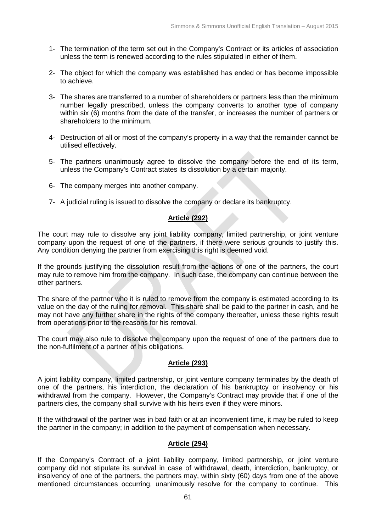- 1- The termination of the term set out in the Company's Contract or its articles of association unless the term is renewed according to the rules stipulated in either of them.
- 2- The object for which the company was established has ended or has become impossible to achieve.
- 3- The shares are transferred to a number of shareholders or partners less than the minimum number legally prescribed, unless the company converts to another type of company within six (6) months from the date of the transfer, or increases the number of partners or shareholders to the minimum.
- 4- Destruction of all or most of the company's property in a way that the remainder cannot be utilised effectively.
- 5- The partners unanimously agree to dissolve the company before the end of its term, unless the Company's Contract states its dissolution by a certain majority.
- 6- The company merges into another company.
- 7- A judicial ruling is issued to dissolve the company or declare its bankruptcy.

## **Article (292)**

The court may rule to dissolve any joint liability company, limited partnership, or joint venture company upon the request of one of the partners, if there were serious grounds to justify this. Any condition denying the partner from exercising this right is deemed void.

If the grounds justifying the dissolution result from the actions of one of the partners, the court may rule to remove him from the company. In such case, the company can continue between the other partners.

The share of the partner who it is ruled to remove from the company is estimated according to its value on the day of the ruling for removal. This share shall be paid to the partner in cash, and he may not have any further share in the rights of the company thereafter, unless these rights result from operations prior to the reasons for his removal.

The court may also rule to dissolve the company upon the request of one of the partners due to the non-fulfilment of a partner of his obligations.

### **Article (293)**

A joint liability company, limited partnership, or joint venture company terminates by the death of one of the partners, his interdiction, the declaration of his bankruptcy or insolvency or his withdrawal from the company. However, the Company's Contract may provide that if one of the partners dies, the company shall survive with his heirs even if they were minors.

If the withdrawal of the partner was in bad faith or at an inconvenient time, it may be ruled to keep the partner in the company; in addition to the payment of compensation when necessary.

#### **Article (294)**

If the Company's Contract of a joint liability company, limited partnership, or joint venture company did not stipulate its survival in case of withdrawal, death, interdiction, bankruptcy, or insolvency of one of the partners, the partners may, within sixty (60) days from one of the above mentioned circumstances occurring, unanimously resolve for the company to continue. This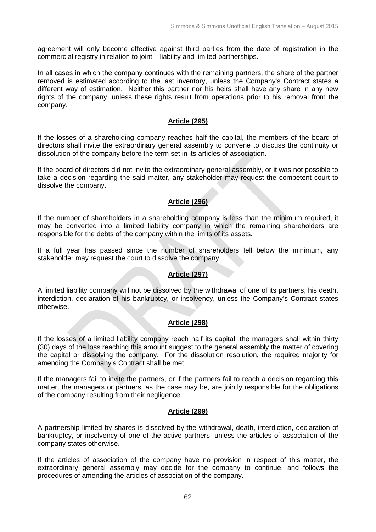agreement will only become effective against third parties from the date of registration in the commercial registry in relation to joint – liability and limited partnerships.

In all cases in which the company continues with the remaining partners, the share of the partner removed is estimated according to the last inventory, unless the Company's Contract states a different way of estimation. Neither this partner nor his heirs shall have any share in any new rights of the company, unless these rights result from operations prior to his removal from the company.

### **Article (295)**

If the losses of a shareholding company reaches half the capital, the members of the board of directors shall invite the extraordinary general assembly to convene to discuss the continuity or dissolution of the company before the term set in its articles of association.

If the board of directors did not invite the extraordinary general assembly, or it was not possible to take a decision regarding the said matter, any stakeholder may request the competent court to dissolve the company.

## **Article (296)**

If the number of shareholders in a shareholding company is less than the minimum required, it may be converted into a limited liability company in which the remaining shareholders are responsible for the debts of the company within the limits of its assets.

If a full year has passed since the number of shareholders fell below the minimum, any stakeholder may request the court to dissolve the company.

## **Article (297)**

A limited liability company will not be dissolved by the withdrawal of one of its partners, his death, interdiction, declaration of his bankruptcy, or insolvency, unless the Company's Contract states otherwise.

### **Article (298)**

If the losses of a limited liability company reach half its capital, the managers shall within thirty (30) days of the loss reaching this amount suggest to the general assembly the matter of covering the capital or dissolving the company. For the dissolution resolution, the required majority for amending the Company's Contract shall be met.

If the managers fail to invite the partners, or if the partners fail to reach a decision regarding this matter, the managers or partners, as the case may be, are jointly responsible for the obligations of the company resulting from their negligence.

## **Article (299)**

A partnership limited by shares is dissolved by the withdrawal, death, interdiction, declaration of bankruptcy, or insolvency of one of the active partners, unless the articles of association of the company states otherwise.

If the articles of association of the company have no provision in respect of this matter, the extraordinary general assembly may decide for the company to continue, and follows the procedures of amending the articles of association of the company.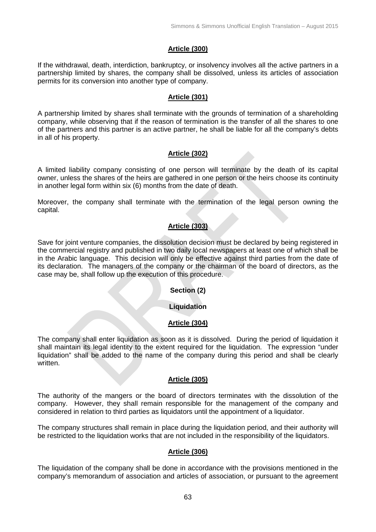## **Article (300)**

If the withdrawal, death, interdiction, bankruptcy, or insolvency involves all the active partners in a partnership limited by shares, the company shall be dissolved, unless its articles of association permits for its conversion into another type of company.

### **Article (301)**

A partnership limited by shares shall terminate with the grounds of termination of a shareholding company, while observing that if the reason of termination is the transfer of all the shares to one of the partners and this partner is an active partner, he shall be liable for all the company's debts in all of his property.

## **Article (302)**

A limited liability company consisting of one person will terminate by the death of its capital owner, unless the shares of the heirs are gathered in one person or the heirs choose its continuity in another legal form within six (6) months from the date of death.

Moreover, the company shall terminate with the termination of the legal person owning the capital.

## **Article (303)**

Save for joint venture companies, the dissolution decision must be declared by being registered in the commercial registry and published in two daily local newspapers at least one of which shall be in the Arabic language. This decision will only be effective against third parties from the date of its declaration. The managers of the company or the chairman of the board of directors, as the case may be, shall follow up the execution of this procedure.

### **Section (2)**

### **Liquidation**

### **Article (304)**

The company shall enter liquidation as soon as it is dissolved. During the period of liquidation it shall maintain its legal identity to the extent required for the liquidation. The expression "under liquidation" shall be added to the name of the company during this period and shall be clearly written.

### **Article (305)**

The authority of the mangers or the board of directors terminates with the dissolution of the company. However, they shall remain responsible for the management of the company and considered in relation to third parties as liquidators until the appointment of a liquidator.

The company structures shall remain in place during the liquidation period, and their authority will be restricted to the liquidation works that are not included in the responsibility of the liquidators.

### **Article (306)**

The liquidation of the company shall be done in accordance with the provisions mentioned in the company's memorandum of association and articles of association, or pursuant to the agreement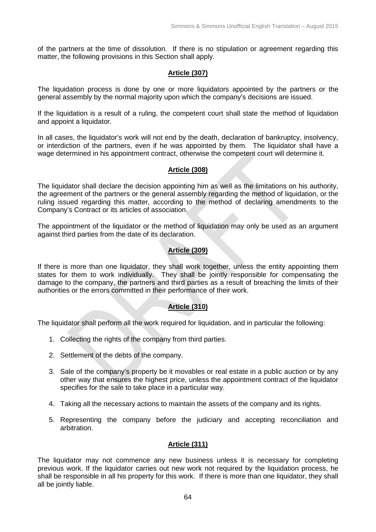of the partners at the time of dissolution. If there is no stipulation or agreement regarding this matter, the following provisions in this Section shall apply.

### **Article (307)**

The liquidation process is done by one or more liquidators appointed by the partners or the general assembly by the normal majority upon which the company's decisions are issued.

If the liquidation is a result of a ruling, the competent court shall state the method of liquidation and appoint a liquidator.

In all cases, the liquidator's work will not end by the death, declaration of bankruptcy, insolvency, or interdiction of the partners, even if he was appointed by them. The liquidator shall have a wage determined in his appointment contract, otherwise the competent court will determine it.

### **Article (308)**

The liquidator shall declare the decision appointing him as well as the limitations on his authority, the agreement of the partners or the general assembly regarding the method of liquidation, or the ruling issued regarding this matter, according to the method of declaring amendments to the Company's Contract or its articles of association.

The appointment of the liquidator or the method of liquidation may only be used as an argument against third parties from the date of its declaration.

## **Article (309)**

If there is more than one liquidator, they shall work together, unless the entity appointing them states for them to work individually. They shall be jointly responsible for compensating the damage to the company, the partners and third parties as a result of breaching the limits of their authorities or the errors committed in their performance of their work.

### **Article (310)**

The liquidator shall perform all the work required for liquidation, and in particular the following:

- 1. Collecting the rights of the company from third parties.
- 2. Settlement of the debts of the company.
- 3. Sale of the company's property be it movables or real estate in a public auction or by any other way that ensures the highest price, unless the appointment contract of the liquidator specifies for the sale to take place in a particular way.
- 4. Taking all the necessary actions to maintain the assets of the company and its rights.
- 5. Representing the company before the judiciary and accepting reconciliation and arbitration.

### **Article (311)**

The liquidator may not commence any new business unless it is necessary for completing previous work. If the liquidator carries out new work not required by the liquidation process, he shall be responsible in all his property for this work. If there is more than one liquidator, they shall all be jointly liable.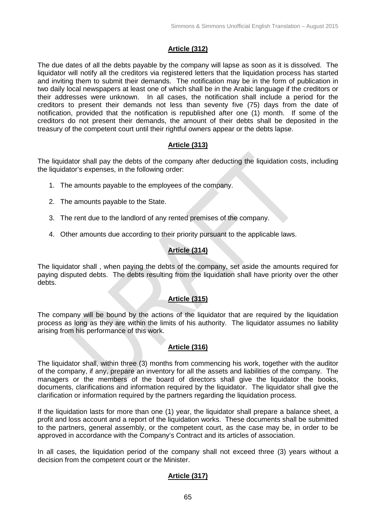# **Article (312)**

The due dates of all the debts payable by the company will lapse as soon as it is dissolved. The liquidator will notify all the creditors via registered letters that the liquidation process has started and inviting them to submit their demands. The notification may be in the form of publication in two daily local newspapers at least one of which shall be in the Arabic language if the creditors or their addresses were unknown. In all cases, the notification shall include a period for the creditors to present their demands not less than seventy five (75) days from the date of notification, provided that the notification is republished after one (1) month. If some of the creditors do not present their demands, the amount of their debts shall be deposited in the treasury of the competent court until their rightful owners appear or the debts lapse.

## **Article (313)**

The liquidator shall pay the debts of the company after deducting the liquidation costs, including the liquidator's expenses, in the following order:

- 1. The amounts payable to the employees of the company.
- 2. The amounts payable to the State.
- 3. The rent due to the landlord of any rented premises of the company.
- 4. Other amounts due according to their priority pursuant to the applicable laws.

# **Article (314)**

The liquidator shall , when paying the debts of the company, set aside the amounts required for paying disputed debts. The debts resulting from the liquidation shall have priority over the other debts.

# **Article (315)**

The company will be bound by the actions of the liquidator that are required by the liquidation process as long as they are within the limits of his authority. The liquidator assumes no liability arising from his performance of this work.

# **Article (316)**

The liquidator shall, within three (3) months from commencing his work, together with the auditor of the company, if any, prepare an inventory for all the assets and liabilities of the company. The managers or the members of the board of directors shall give the liquidator the books, documents, clarifications and information required by the liquidator. The liquidator shall give the clarification or information required by the partners regarding the liquidation process.

If the liquidation lasts for more than one (1) year, the liquidator shall prepare a balance sheet, a profit and loss account and a report of the liquidation works. These documents shall be submitted to the partners, general assembly, or the competent court, as the case may be, in order to be approved in accordance with the Company's Contract and its articles of association.

In all cases, the liquidation period of the company shall not exceed three (3) years without a decision from the competent court or the Minister.

# **Article (317)**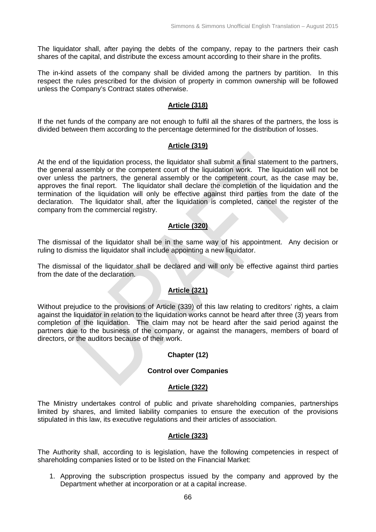The liquidator shall, after paying the debts of the company, repay to the partners their cash shares of the capital, and distribute the excess amount according to their share in the profits.

The in-kind assets of the company shall be divided among the partners by partition. In this respect the rules prescribed for the division of property in common ownership will be followed unless the Company's Contract states otherwise.

#### **Article (318)**

If the net funds of the company are not enough to fulfil all the shares of the partners, the loss is divided between them according to the percentage determined for the distribution of losses.

#### **Article (319)**

At the end of the liquidation process, the liquidator shall submit a final statement to the partners, the general assembly or the competent court of the liquidation work. The liquidation will not be over unless the partners, the general assembly or the competent court, as the case may be, approves the final report. The liquidator shall declare the completion of the liquidation and the termination of the liquidation will only be effective against third parties from the date of the declaration. The liquidator shall, after the liquidation is completed, cancel the register of the company from the commercial registry.

### **Article (320)**

The dismissal of the liquidator shall be in the same way of his appointment. Any decision or ruling to dismiss the liquidator shall include appointing a new liquidator.

The dismissal of the liquidator shall be declared and will only be effective against third parties from the date of the declaration.

### **Article (321)**

Without prejudice to the provisions of Article (339) of this law relating to creditors' rights, a claim against the liquidator in relation to the liquidation works cannot be heard after three (3) years from completion of the liquidation. The claim may not be heard after the said period against the partners due to the business of the company, or against the managers, members of board of directors, or the auditors because of their work.

#### **Chapter (12)**

#### **Control over Companies**

#### **Article (322)**

The Ministry undertakes control of public and private shareholding companies, partnerships limited by shares, and limited liability companies to ensure the execution of the provisions stipulated in this law, its executive regulations and their articles of association.

### **Article (323)**

The Authority shall, according to is legislation, have the following competencies in respect of shareholding companies listed or to be listed on the Financial Market:

1. Approving the subscription prospectus issued by the company and approved by the Department whether at incorporation or at a capital increase.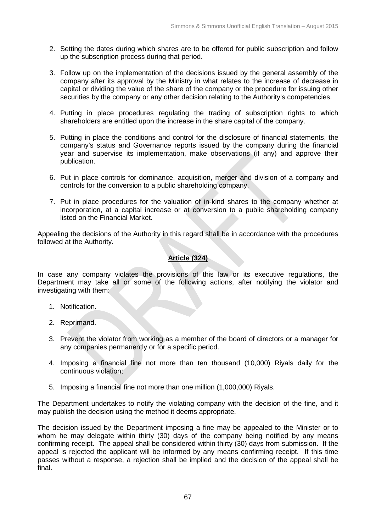- 2. Setting the dates during which shares are to be offered for public subscription and follow up the subscription process during that period.
- 3. Follow up on the implementation of the decisions issued by the general assembly of the company after its approval by the Ministry in what relates to the increase of decrease in capital or dividing the value of the share of the company or the procedure for issuing other securities by the company or any other decision relating to the Authority's competencies.
- 4. Putting in place procedures regulating the trading of subscription rights to which shareholders are entitled upon the increase in the share capital of the company.
- 5. Putting in place the conditions and control for the disclosure of financial statements, the company's status and Governance reports issued by the company during the financial year and supervise its implementation, make observations (if any) and approve their publication.
- 6. Put in place controls for dominance, acquisition, merger and division of a company and controls for the conversion to a public shareholding company.
- 7. Put in place procedures for the valuation of in-kind shares to the company whether at incorporation, at a capital increase or at conversion to a public shareholding company listed on the Financial Market.

Appealing the decisions of the Authority in this regard shall be in accordance with the procedures followed at the Authority.

## **Article (324)**

In case any company violates the provisions of this law or its executive regulations, the Department may take all or some of the following actions, after notifying the violator and investigating with them:

- 1. Notification.
- 2. Reprimand.
- 3. Prevent the violator from working as a member of the board of directors or a manager for any companies permanently or for a specific period.
- 4. Imposing a financial fine not more than ten thousand (10,000) Riyals daily for the continuous violation;
- 5. Imposing a financial fine not more than one million (1,000,000) Riyals.

The Department undertakes to notify the violating company with the decision of the fine, and it may publish the decision using the method it deems appropriate.

The decision issued by the Department imposing a fine may be appealed to the Minister or to whom he may delegate within thirty (30) days of the company being notified by any means confirming receipt. The appeal shall be considered within thirty (30) days from submission. If the appeal is rejected the applicant will be informed by any means confirming receipt. If this time passes without a response, a rejection shall be implied and the decision of the appeal shall be final.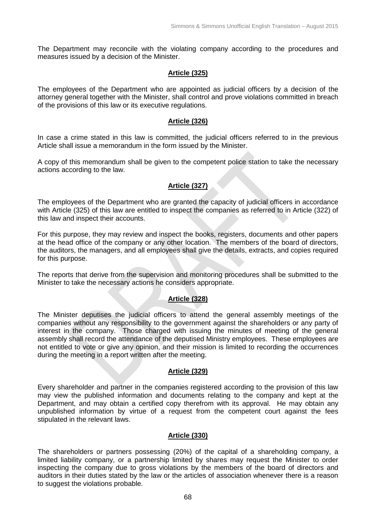The Department may reconcile with the violating company according to the procedures and measures issued by a decision of the Minister.

#### **Article (325)**

The employees of the Department who are appointed as judicial officers by a decision of the attorney general together with the Minister, shall control and prove violations committed in breach of the provisions of this law or its executive regulations.

#### **Article (326)**

In case a crime stated in this law is committed, the judicial officers referred to in the previous Article shall issue a memorandum in the form issued by the Minister.

A copy of this memorandum shall be given to the competent police station to take the necessary actions according to the law.

### **Article (327)**

The employees of the Department who are granted the capacity of judicial officers in accordance with Article (325) of this law are entitled to inspect the companies as referred to in Article (322) of this law and inspect their accounts.

For this purpose, they may review and inspect the books, registers, documents and other papers at the head office of the company or any other location. The members of the board of directors, the auditors, the managers, and all employees shall give the details, extracts, and copies required for this purpose.

The reports that derive from the supervision and monitoring procedures shall be submitted to the Minister to take the necessary actions he considers appropriate.

### **Article (328)**

The Minister deputises the judicial officers to attend the general assembly meetings of the companies without any responsibility to the government against the shareholders or any party of interest in the company. Those charged with issuing the minutes of meeting of the general assembly shall record the attendance of the deputised Ministry employees. These employees are not entitled to vote or give any opinion, and their mission is limited to recording the occurrences during the meeting in a report written after the meeting.

#### **Article (329)**

Every shareholder and partner in the companies registered according to the provision of this law may view the published information and documents relating to the company and kept at the Department, and may obtain a certified copy therefrom with its approval. He may obtain any unpublished information by virtue of a request from the competent court against the fees stipulated in the relevant laws.

#### **Article (330)**

The shareholders or partners possessing (20%) of the capital of a shareholding company, a limited liability company, or a partnership limited by shares may request the Minister to order inspecting the company due to gross violations by the members of the board of directors and auditors in their duties stated by the law or the articles of association whenever there is a reason to suggest the violations probable.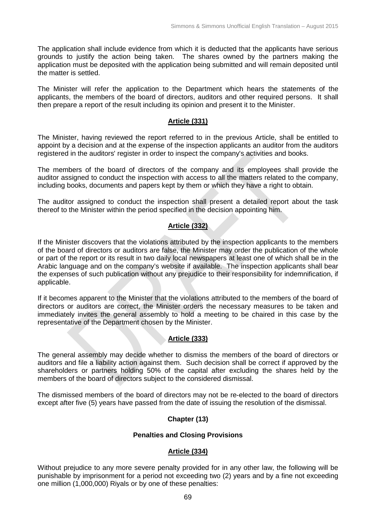The application shall include evidence from which it is deducted that the applicants have serious grounds to justify the action being taken. The shares owned by the partners making the application must be deposited with the application being submitted and will remain deposited until the matter is settled.

The Minister will refer the application to the Department which hears the statements of the applicants, the members of the board of directors, auditors and other required persons. It shall then prepare a report of the result including its opinion and present it to the Minister.

#### **Article (331)**

The Minister, having reviewed the report referred to in the previous Article, shall be entitled to appoint by a decision and at the expense of the inspection applicants an auditor from the auditors registered in the auditors' register in order to inspect the company's activities and books.

The members of the board of directors of the company and its employees shall provide the auditor assigned to conduct the inspection with access to all the matters related to the company, including books, documents and papers kept by them or which they have a right to obtain.

The auditor assigned to conduct the inspection shall present a detailed report about the task thereof to the Minister within the period specified in the decision appointing him.

### **Article (332)**

If the Minister discovers that the violations attributed by the inspection applicants to the members of the board of directors or auditors are false, the Minister may order the publication of the whole or part of the report or its result in two daily local newspapers at least one of which shall be in the Arabic language and on the company's website if available. The inspection applicants shall bear the expenses of such publication without any prejudice to their responsibility for indemnification, if applicable.

If it becomes apparent to the Minister that the violations attributed to the members of the board of directors or auditors are correct, the Minister orders the necessary measures to be taken and immediately invites the general assembly to hold a meeting to be chaired in this case by the representative of the Department chosen by the Minister.

#### **Article (333)**

The general assembly may decide whether to dismiss the members of the board of directors or auditors and file a liability action against them. Such decision shall be correct if approved by the shareholders or partners holding 50% of the capital after excluding the shares held by the members of the board of directors subject to the considered dismissal.

The dismissed members of the board of directors may not be re-elected to the board of directors except after five (5) years have passed from the date of issuing the resolution of the dismissal.

### **Chapter (13)**

#### **Penalties and Closing Provisions**

#### **Article (334)**

Without prejudice to any more severe penalty provided for in any other law, the following will be punishable by imprisonment for a period not exceeding two (2) years and by a fine not exceeding one million (1,000,000) Riyals or by one of these penalties: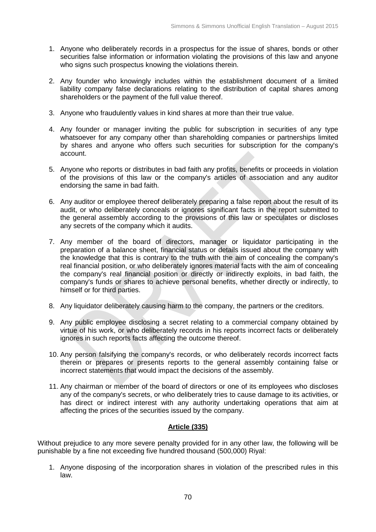- 1. Anyone who deliberately records in a prospectus for the issue of shares, bonds or other securities false information or information violating the provisions of this law and anyone who signs such prospectus knowing the violations therein.
- 2. Any founder who knowingly includes within the establishment document of a limited liability company false declarations relating to the distribution of capital shares among shareholders or the payment of the full value thereof.
- 3. Anyone who fraudulently values in kind shares at more than their true value.
- 4. Any founder or manager inviting the public for subscription in securities of any type whatsoever for any company other than shareholding companies or partnerships limited by shares and anyone who offers such securities for subscription for the company's account.
- 5. Anyone who reports or distributes in bad faith any profits, benefits or proceeds in violation of the provisions of this law or the company's articles of association and any auditor endorsing the same in bad faith.
- 6. Any auditor or employee thereof deliberately preparing a false report about the result of its audit, or who deliberately conceals or ignores significant facts in the report submitted to the general assembly according to the provisions of this law or speculates or discloses any secrets of the company which it audits.
- 7. Any member of the board of directors, manager or liquidator participating in the preparation of a balance sheet, financial status or details issued about the company with the knowledge that this is contrary to the truth with the aim of concealing the company's real financial position, or who deliberately ignores material facts with the aim of concealing the company's real financial position or directly or indirectly exploits, in bad faith, the company's funds or shares to achieve personal benefits, whether directly or indirectly, to himself or for third parties.
- 8. Any liquidator deliberately causing harm to the company, the partners or the creditors.
- 9. Any public employee disclosing a secret relating to a commercial company obtained by virtue of his work, or who deliberately records in his reports incorrect facts or deliberately ignores in such reports facts affecting the outcome thereof.
- 10. Any person falsifying the company's records, or who deliberately records incorrect facts therein or prepares or presents reports to the general assembly containing false or incorrect statements that would impact the decisions of the assembly.
- 11. Any chairman or member of the board of directors or one of its employees who discloses any of the company's secrets, or who deliberately tries to cause damage to its activities, or has direct or indirect interest with any authority undertaking operations that aim at affecting the prices of the securities issued by the company.

### **Article (335)**

Without prejudice to any more severe penalty provided for in any other law, the following will be punishable by a fine not exceeding five hundred thousand (500,000) Riyal:

1. Anyone disposing of the incorporation shares in violation of the prescribed rules in this law.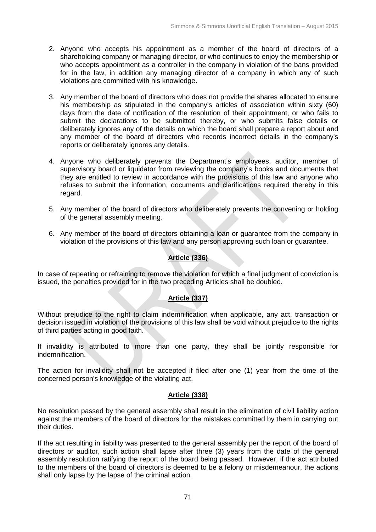- 2. Anyone who accepts his appointment as a member of the board of directors of a shareholding company or managing director, or who continues to enjoy the membership or who accepts appointment as a controller in the company in violation of the bans provided for in the law, in addition any managing director of a company in which any of such violations are committed with his knowledge.
- 3. Any member of the board of directors who does not provide the shares allocated to ensure his membership as stipulated in the company's articles of association within sixty (60) days from the date of notification of the resolution of their appointment, or who fails to submit the declarations to be submitted thereby, or who submits false details or deliberately ignores any of the details on which the board shall prepare a report about and any member of the board of directors who records incorrect details in the company's reports or deliberately ignores any details.
- 4. Anyone who deliberately prevents the Department's employees, auditor, member of supervisory board or liquidator from reviewing the company's books and documents that they are entitled to review in accordance with the provisions of this law and anyone who refuses to submit the information, documents and clarifications required thereby in this regard.
- 5. Any member of the board of directors who deliberately prevents the convening or holding of the general assembly meeting.
- 6. Any member of the board of directors obtaining a loan or guarantee from the company in violation of the provisions of this law and any person approving such loan or guarantee.

## **Article (336)**

In case of repeating or refraining to remove the violation for which a final judgment of conviction is issued, the penalties provided for in the two preceding Articles shall be doubled.

## **Article (337)**

Without prejudice to the right to claim indemnification when applicable, any act, transaction or decision issued in violation of the provisions of this law shall be void without prejudice to the rights of third parties acting in good faith.

If invalidity is attributed to more than one party, they shall be jointly responsible for indemnification.

The action for invalidity shall not be accepted if filed after one (1) year from the time of the concerned person's knowledge of the violating act.

### **Article (338)**

No resolution passed by the general assembly shall result in the elimination of civil liability action against the members of the board of directors for the mistakes committed by them in carrying out their duties.

If the act resulting in liability was presented to the general assembly per the report of the board of directors or auditor, such action shall lapse after three (3) years from the date of the general assembly resolution ratifying the report of the board being passed. However, if the act attributed to the members of the board of directors is deemed to be a felony or misdemeanour, the actions shall only lapse by the lapse of the criminal action.